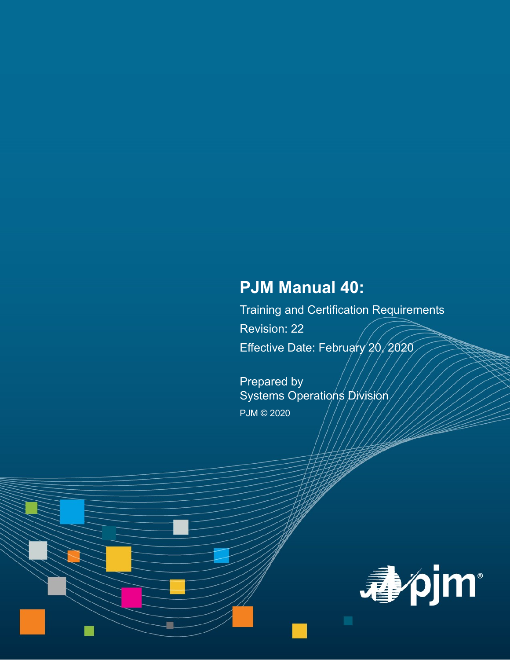# **PJM Manual 40:**

Training and Certification Requirements Revision: 22 Effective Date: February 20, 2020

Prepared by Systems Operations Division PJM © 2020

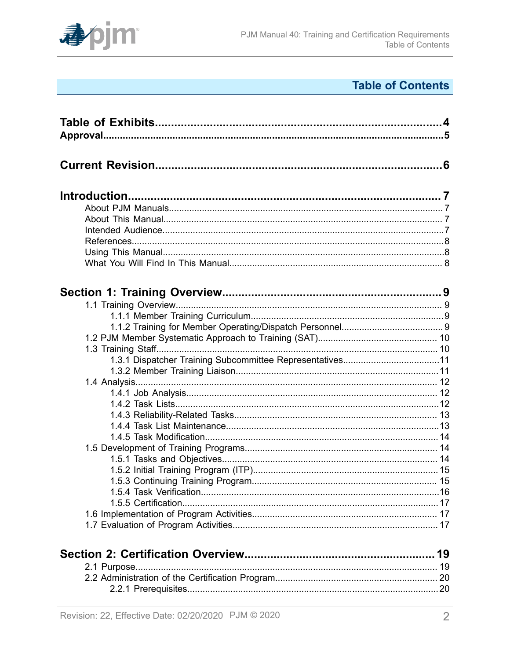

# **Table of Contents**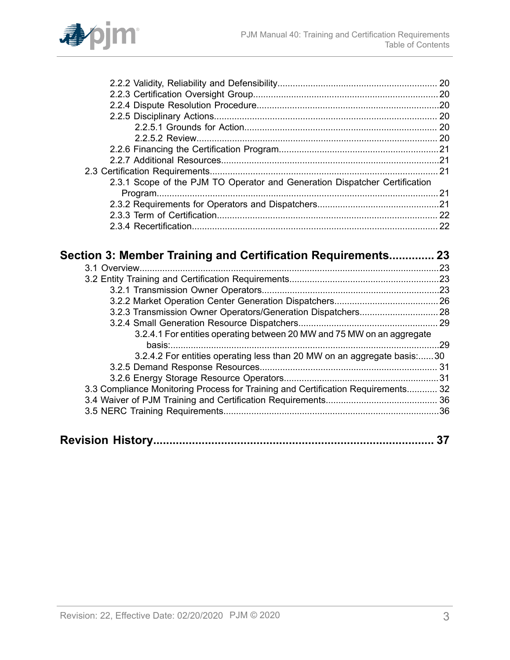

| 2.3.1 Scope of the PJM TO Operator and Generation Dispatcher Certification       |    |
|----------------------------------------------------------------------------------|----|
|                                                                                  |    |
|                                                                                  |    |
|                                                                                  |    |
|                                                                                  |    |
|                                                                                  |    |
| Section 3: Member Training and Certification Requirements 23                     |    |
|                                                                                  |    |
|                                                                                  |    |
|                                                                                  |    |
|                                                                                  |    |
|                                                                                  |    |
|                                                                                  |    |
| 3.2.3 Transmission Owner Operators/Generation Dispatchers 28                     |    |
|                                                                                  |    |
| 3.2.4.1 For entities operating between 20 MW and 75 MW on an aggregate           |    |
|                                                                                  |    |
| 3.2.4.2 For entities operating less than 20 MW on an aggregate basis:30          |    |
|                                                                                  |    |
|                                                                                  |    |
| 3.3 Compliance Monitoring Process for Training and Certification Requirements 32 |    |
|                                                                                  |    |
|                                                                                  |    |
|                                                                                  | 37 |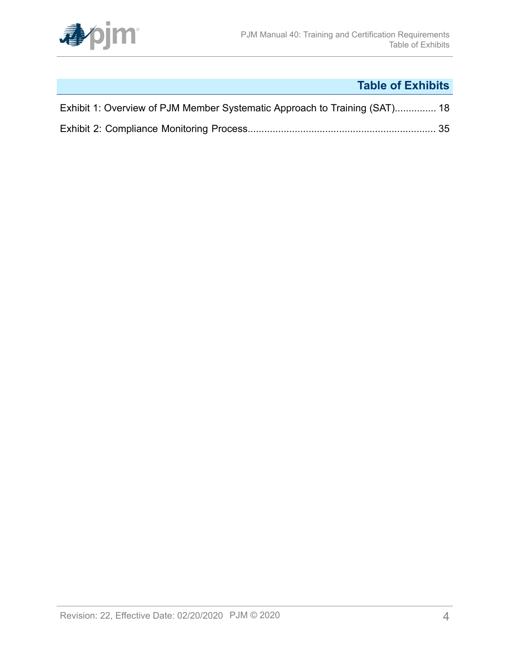

# **Table of Exhibits**

<span id="page-3-0"></span>

| Exhibit 1: Overview of PJM Member Systematic Approach to Training (SAT) 18 |  |
|----------------------------------------------------------------------------|--|
|                                                                            |  |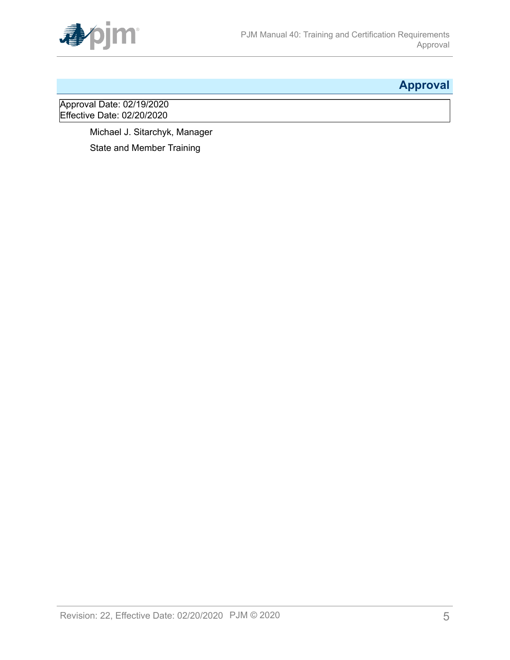

# <span id="page-4-0"></span>**Approval**

Approval Date: 02/19/2020 Effective Date: 02/20/2020

> Michael J. Sitarchyk, Manager State and Member Training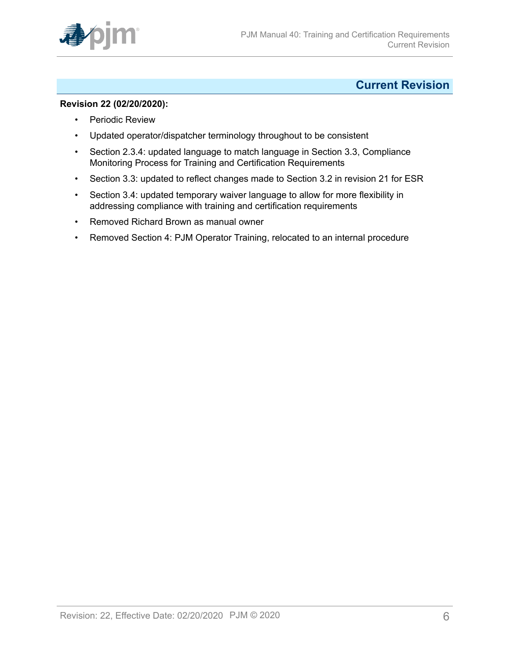

# <span id="page-5-0"></span>**Current Revision**

#### **Revision 22 (02/20/2020):**

- Periodic Review
- Updated operator/dispatcher terminology throughout to be consistent
- Section 2.3.4: updated language to match language in Section 3.3, Compliance Monitoring Process for Training and Certification Requirements
- Section 3.3: updated to reflect changes made to Section 3.2 in revision 21 for ESR
- Section 3.4: updated temporary waiver language to allow for more flexibility in addressing compliance with training and certification requirements
- Removed Richard Brown as manual owner
- Removed Section 4: PJM Operator Training, relocated to an internal procedure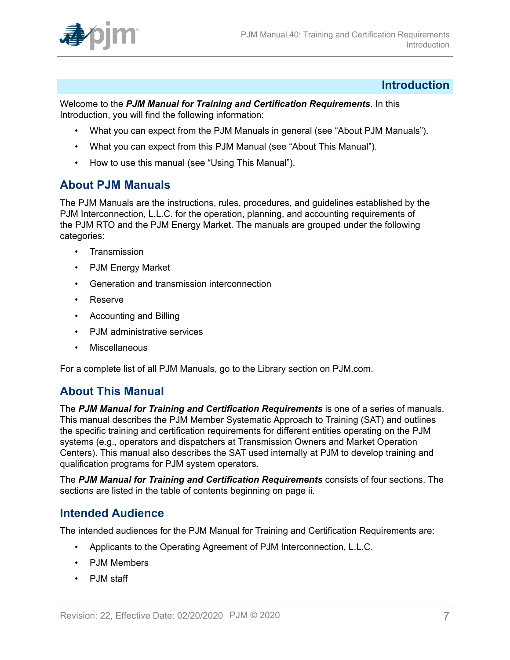

## <span id="page-6-0"></span>**Introduction**

Welcome to the *PJM Manual for Training and Certification Requirements*. In this Introduction, you will find the following information:

- What you can expect from the PJM Manuals in general (see "About PJM Manuals").
- What you can expect from this PJM Manual (see "About This Manual").
- How to use this manual (see "Using This Manual").

# <span id="page-6-1"></span>**About PJM Manuals**

The PJM Manuals are the instructions, rules, procedures, and guidelines established by the PJM Interconnection, L.L.C. for the operation, planning, and accounting requirements of the PJM RTO and the PJM Energy Market. The manuals are grouped under the following categories:

- Transmission
- PJM Energy Market
- Generation and transmission interconnection
- Reserve
- Accounting and Billing
- PJM administrative services
- Miscellaneous

For a complete list of all PJM Manuals, go to the Library section on PJM.com.

# <span id="page-6-2"></span>**About This Manual**

The *PJM Manual for Training and Certification Requirements* is one of a series of manuals. This manual describes the PJM Member Systematic Approach to Training (SAT) and outlines the specific training and certification requirements for different entities operating on the PJM systems (e.g., operators and dispatchers at Transmission Owners and Market Operation Centers). This manual also describes the SAT used internally at PJM to develop training and qualification programs for PJM system operators.

The *PJM Manual for Training and Certification Requirements* consists of four sections. The sections are listed in the table of contents beginning on page ii.

# <span id="page-6-3"></span>**Intended Audience**

The intended audiences for the PJM Manual for Training and Certification Requirements are:

- Applicants to the Operating Agreement of PJM Interconnection, L.L.C.
- PJM Members
- PJM staff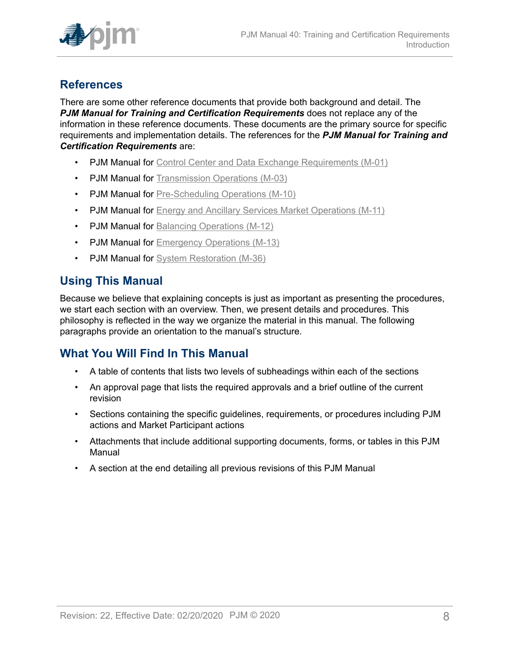

# <span id="page-7-0"></span>**References**

There are some other reference documents that provide both background and detail. The *PJM Manual for Training and Certification Requirements* does not replace any of the information in these reference documents. These documents are the primary source for specific requirements and implementation details. The references for the *PJM Manual for Training and Certification Requirements* are:

- PJM Manual for [Control Center and Data Exchange Requirements \(M-01\)](https://www.pjm.com/-/media/documents/manuals/m01.ashx)
- PJM Manual for [Transmission](https://www.pjm.com/-/media/documents/manuals/m03.ashx) Operations (M-03)
- PJM Manual for [Pre-Scheduling Operations \(M-10\)](https://www.pjm.com/-/media/documents/manuals/m10.ashx)
- PJM Manual for **Energy and Ancillary Services Market [Operations](https://www.pjm.com/-/media/documents/manuals/m11.ashx)** (M-11)
- PJM Manual for [Balancing Operations \(M-12\)](https://www.pjm.com/-/media/documents/manuals/m12.ashx)
- PJM Manual for **Emergency Operations** (M-13)
- PJM Manual for [System Restoration \(M-36\)](https://www.pjm.com/-/media/documents/manuals/m36.ashx)

# <span id="page-7-1"></span>**Using This Manual**

Because we believe that explaining concepts is just as important as presenting the procedures, we start each section with an overview. Then, we present details and procedures. This philosophy is reflected in the way we organize the material in this manual. The following paragraphs provide an orientation to the manual's structure.

# <span id="page-7-2"></span>**What You Will Find In This Manual**

- A table of contents that lists two levels of subheadings within each of the sections
- An approval page that lists the required approvals and a brief outline of the current revision
- Sections containing the specific guidelines, requirements, or procedures including PJM actions and Market Participant actions
- Attachments that include additional supporting documents, forms, or tables in this PJM Manual
- A section at the end detailing all previous revisions of this PJM Manual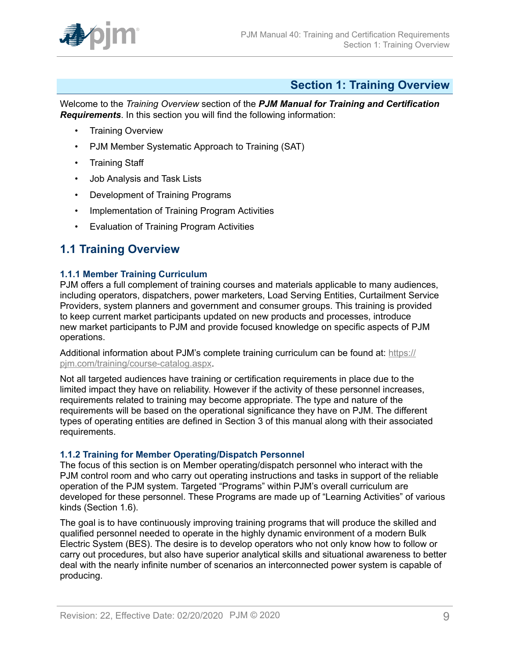

# <span id="page-8-0"></span>**Section 1: Training Overview**

Welcome to the *Training Overview* section of the *PJM Manual for Training and Certification Requirements*. In this section you will find the following information:

- Training Overview
- PJM Member Systematic Approach to Training (SAT)
- Training Staff
- Job Analysis and Task Lists
- Development of Training Programs
- Implementation of Training Program Activities
- Evaluation of Training Program Activities

# <span id="page-8-1"></span>**1.1 Training Overview**

#### <span id="page-8-2"></span>**1.1.1 Member Training Curriculum**

PJM offers a full complement of training courses and materials applicable to many audiences, including operators, dispatchers, power marketers, Load Serving Entities, Curtailment Service Providers, system planners and government and consumer groups. This training is provided to keep current market participants updated on new products and processes, introduce new market participants to PJM and provide focused knowledge on specific aspects of PJM operations.

Additional information about PJM's complete training curriculum can be found at: [https://](https://pjm.com/training/course-catalog.aspx) [pjm.com/training/course-catalog.aspx](https://pjm.com/training/course-catalog.aspx).

Not all targeted audiences have training or certification requirements in place due to the limited impact they have on reliability. However if the activity of these personnel increases, requirements related to training may become appropriate. The type and nature of the requirements will be based on the operational significance they have on PJM. The different types of operating entities are defined in Section 3 of this manual along with their associated requirements.

#### <span id="page-8-3"></span>**1.1.2 Training for Member Operating/Dispatch Personnel**

The focus of this section is on Member operating/dispatch personnel who interact with the PJM control room and who carry out operating instructions and tasks in support of the reliable operation of the PJM system. Targeted "Programs" within PJM's overall curriculum are developed for these personnel. These Programs are made up of "Learning Activities" of various kinds (Section 1.6).

The goal is to have continuously improving training programs that will produce the skilled and qualified personnel needed to operate in the highly dynamic environment of a modern Bulk Electric System (BES). The desire is to develop operators who not only know how to follow or carry out procedures, but also have superior analytical skills and situational awareness to better deal with the nearly infinite number of scenarios an interconnected power system is capable of producing.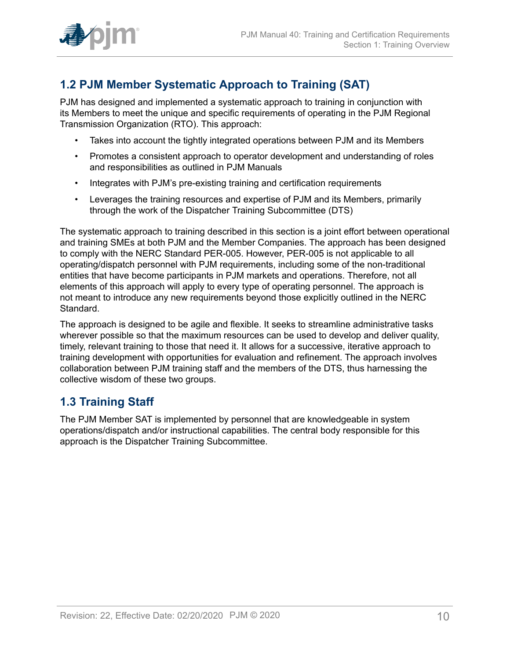

# <span id="page-9-0"></span>**1.2 PJM Member Systematic Approach to Training (SAT)**

PJM has designed and implemented a systematic approach to training in conjunction with its Members to meet the unique and specific requirements of operating in the PJM Regional Transmission Organization (RTO). This approach:

- Takes into account the tightly integrated operations between PJM and its Members
- Promotes a consistent approach to operator development and understanding of roles and responsibilities as outlined in PJM Manuals
- Integrates with PJM's pre-existing training and certification requirements
- Leverages the training resources and expertise of PJM and its Members, primarily through the work of the Dispatcher Training Subcommittee (DTS)

The systematic approach to training described in this section is a joint effort between operational and training SMEs at both PJM and the Member Companies. The approach has been designed to comply with the NERC Standard PER-005. However, PER-005 is not applicable to all operating/dispatch personnel with PJM requirements, including some of the non-traditional entities that have become participants in PJM markets and operations. Therefore, not all elements of this approach will apply to every type of operating personnel. The approach is not meant to introduce any new requirements beyond those explicitly outlined in the NERC Standard.

The approach is designed to be agile and flexible. It seeks to streamline administrative tasks wherever possible so that the maximum resources can be used to develop and deliver quality, timely, relevant training to those that need it. It allows for a successive, iterative approach to training development with opportunities for evaluation and refinement. The approach involves collaboration between PJM training staff and the members of the DTS, thus harnessing the collective wisdom of these two groups.

# <span id="page-9-1"></span>**1.3 Training Staff**

The PJM Member SAT is implemented by personnel that are knowledgeable in system operations/dispatch and/or instructional capabilities. The central body responsible for this approach is the Dispatcher Training Subcommittee.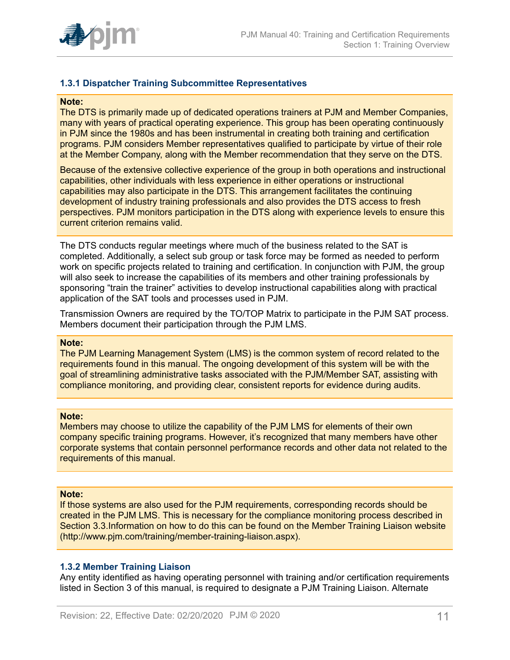

#### <span id="page-10-0"></span>**1.3.1 Dispatcher Training Subcommittee Representatives**

#### **Note:**

The DTS is primarily made up of dedicated operations trainers at PJM and Member Companies, many with years of practical operating experience. This group has been operating continuously in PJM since the 1980s and has been instrumental in creating both training and certification programs. PJM considers Member representatives qualified to participate by virtue of their role at the Member Company, along with the Member recommendation that they serve on the DTS.

Because of the extensive collective experience of the group in both operations and instructional capabilities, other individuals with less experience in either operations or instructional capabilities may also participate in the DTS. This arrangement facilitates the continuing development of industry training professionals and also provides the DTS access to fresh perspectives. PJM monitors participation in the DTS along with experience levels to ensure this current criterion remains valid.

The DTS conducts regular meetings where much of the business related to the SAT is completed. Additionally, a select sub group or task force may be formed as needed to perform work on specific projects related to training and certification. In conjunction with PJM, the group will also seek to increase the capabilities of its members and other training professionals by sponsoring "train the trainer" activities to develop instructional capabilities along with practical application of the SAT tools and processes used in PJM.

Transmission Owners are required by the TO/TOP Matrix to participate in the PJM SAT process. Members document their participation through the PJM LMS.

#### **Note:**

The PJM Learning Management System (LMS) is the common system of record related to the requirements found in this manual. The ongoing development of this system will be with the goal of streamlining administrative tasks associated with the PJM/Member SAT, assisting with compliance monitoring, and providing clear, consistent reports for evidence during audits.

#### **Note:**

Members may choose to utilize the capability of the PJM LMS for elements of their own company specific training programs. However, it's recognized that many members have other corporate systems that contain personnel performance records and other data not related to the requirements of this manual.

#### **Note:**

If those systems are also used for the PJM requirements, corresponding records should be created in the PJM LMS. This is necessary for the compliance monitoring process described in Section 3.3.Information on how to do this can be found on the Member Training Liaison website (http://www.pjm.com/training/member-training-liaison.aspx).

#### <span id="page-10-1"></span>**1.3.2 Member Training Liaison**

Any entity identified as having operating personnel with training and/or certification requirements listed in Section 3 of this manual, is required to designate a PJM Training Liaison. Alternate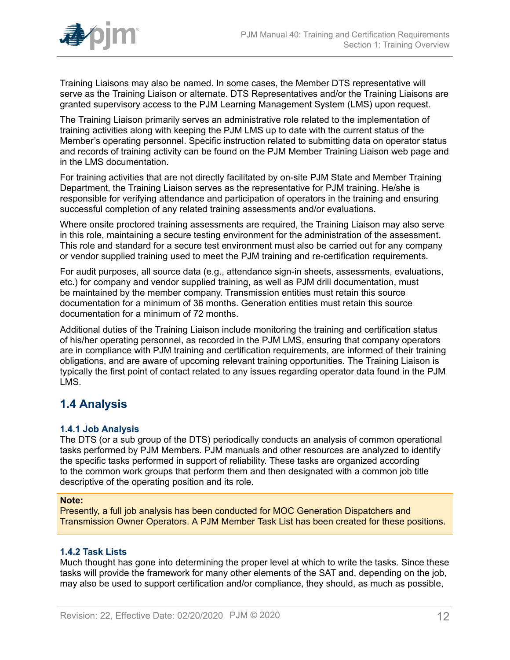

Training Liaisons may also be named. In some cases, the Member DTS representative will serve as the Training Liaison or alternate. DTS Representatives and/or the Training Liaisons are granted supervisory access to the PJM Learning Management System (LMS) upon request.

The Training Liaison primarily serves an administrative role related to the implementation of training activities along with keeping the PJM LMS up to date with the current status of the Member's operating personnel. Specific instruction related to submitting data on operator status and records of training activity can be found on the PJM Member Training Liaison web page and in the LMS documentation.

For training activities that are not directly facilitated by on-site PJM State and Member Training Department, the Training Liaison serves as the representative for PJM training. He/she is responsible for verifying attendance and participation of operators in the training and ensuring successful completion of any related training assessments and/or evaluations.

Where onsite proctored training assessments are required, the Training Liaison may also serve in this role, maintaining a secure testing environment for the administration of the assessment. This role and standard for a secure test environment must also be carried out for any company or vendor supplied training used to meet the PJM training and re-certification requirements.

For audit purposes, all source data (e.g., attendance sign-in sheets, assessments, evaluations, etc.) for company and vendor supplied training, as well as PJM drill documentation, must be maintained by the member company. Transmission entities must retain this source documentation for a minimum of 36 months. Generation entities must retain this source documentation for a minimum of 72 months.

Additional duties of the Training Liaison include monitoring the training and certification status of his/her operating personnel, as recorded in the PJM LMS, ensuring that company operators are in compliance with PJM training and certification requirements, are informed of their training obligations, and are aware of upcoming relevant training opportunities. The Training Liaison is typically the first point of contact related to any issues regarding operator data found in the PJM LMS.

# <span id="page-11-0"></span>**1.4 Analysis**

## <span id="page-11-1"></span>**1.4.1 Job Analysis**

The DTS (or a sub group of the DTS) periodically conducts an analysis of common operational tasks performed by PJM Members. PJM manuals and other resources are analyzed to identify the specific tasks performed in support of reliability. These tasks are organized according to the common work groups that perform them and then designated with a common job title descriptive of the operating position and its role.

#### **Note:**

Presently, a full job analysis has been conducted for MOC Generation Dispatchers and Transmission Owner Operators. A PJM Member Task List has been created for these positions.

## <span id="page-11-2"></span>**1.4.2 Task Lists**

Much thought has gone into determining the proper level at which to write the tasks. Since these tasks will provide the framework for many other elements of the SAT and, depending on the job, may also be used to support certification and/or compliance, they should, as much as possible,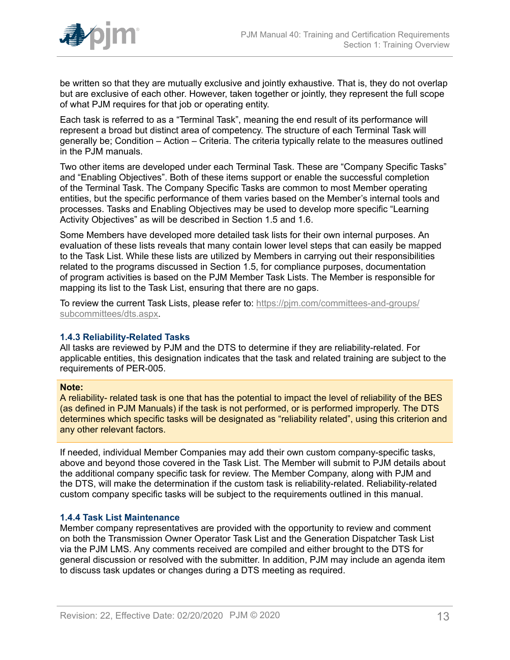

be written so that they are mutually exclusive and jointly exhaustive. That is, they do not overlap but are exclusive of each other. However, taken together or jointly, they represent the full scope of what PJM requires for that job or operating entity.

Each task is referred to as a "Terminal Task", meaning the end result of its performance will represent a broad but distinct area of competency. The structure of each Terminal Task will generally be; Condition – Action – Criteria. The criteria typically relate to the measures outlined in the PJM manuals.

Two other items are developed under each Terminal Task. These are "Company Specific Tasks" and "Enabling Objectives". Both of these items support or enable the successful completion of the Terminal Task. The Company Specific Tasks are common to most Member operating entities, but the specific performance of them varies based on the Member's internal tools and processes. Tasks and Enabling Objectives may be used to develop more specific "Learning Activity Objectives" as will be described in Section 1.5 and 1.6.

Some Members have developed more detailed task lists for their own internal purposes. An evaluation of these lists reveals that many contain lower level steps that can easily be mapped to the Task List. While these lists are utilized by Members in carrying out their responsibilities related to the programs discussed in Section 1.5, for compliance purposes, documentation of program activities is based on the PJM Member Task Lists. The Member is responsible for mapping its list to the Task List, ensuring that there are no gaps.

To review the current Task Lists, please refer to: [https://pjm.com/committees-and-groups/](http://pjm.com/committees-and-groups/subcommittees/dts.aspx) [subcommittees/dts.aspx.](http://pjm.com/committees-and-groups/subcommittees/dts.aspx)

#### <span id="page-12-0"></span>**1.4.3 Reliability-Related Tasks**

All tasks are reviewed by PJM and the DTS to determine if they are reliability-related. For applicable entities, this designation indicates that the task and related training are subject to the requirements of PER-005.

#### **Note:**

A reliability- related task is one that has the potential to impact the level of reliability of the BES (as defined in PJM Manuals) if the task is not performed, or is performed improperly. The DTS determines which specific tasks will be designated as "reliability related", using this criterion and any other relevant factors.

If needed, individual Member Companies may add their own custom company-specific tasks, above and beyond those covered in the Task List. The Member will submit to PJM details about the additional company specific task for review. The Member Company, along with PJM and the DTS, will make the determination if the custom task is reliability-related. Reliability-related custom company specific tasks will be subject to the requirements outlined in this manual.

#### <span id="page-12-1"></span>**1.4.4 Task List Maintenance**

Member company representatives are provided with the opportunity to review and comment on both the Transmission Owner Operator Task List and the Generation Dispatcher Task List via the PJM LMS. Any comments received are compiled and either brought to the DTS for general discussion or resolved with the submitter. In addition, PJM may include an agenda item to discuss task updates or changes during a DTS meeting as required.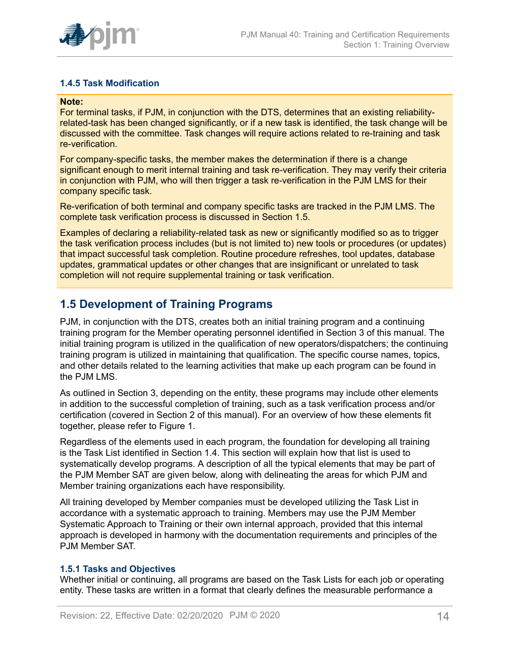

## <span id="page-13-0"></span>**1.4.5 Task Modification**

#### **Note:**

For terminal tasks, if PJM, in conjunction with the DTS, determines that an existing reliabilityrelated-task has been changed significantly, or if a new task is identified, the task change will be discussed with the committee. Task changes will require actions related to re-training and task re-verification.

For company-specific tasks, the member makes the determination if there is a change significant enough to merit internal training and task re-verification. They may verify their criteria in conjunction with PJM, who will then trigger a task re-verification in the PJM LMS for their company specific task.

Re-verification of both terminal and company specific tasks are tracked in the PJM LMS. The complete task verification process is discussed in Section 1.5.

Examples of declaring a reliability-related task as new or significantly modified so as to trigger the task verification process includes (but is not limited to) new tools or procedures (or updates) that impact successful task completion. Routine procedure refreshes, tool updates, database updates, grammatical updates or other changes that are insignificant or unrelated to task completion will not require supplemental training or task verification.

# <span id="page-13-1"></span>**1.5 Development of Training Programs**

PJM, in conjunction with the DTS, creates both an initial training program and a continuing training program for the Member operating personnel identified in Section 3 of this manual. The initial training program is utilized in the qualification of new operators/dispatchers; the continuing training program is utilized in maintaining that qualification. The specific course names, topics, and other details related to the learning activities that make up each program can be found in the PJM LMS.

As outlined in Section 3, depending on the entity, these programs may include other elements in addition to the successful completion of training, such as a task verification process and/or certification (covered in Section 2 of this manual). For an overview of how these elements fit together, please refer to Figure 1.

Regardless of the elements used in each program, the foundation for developing all training is the Task List identified in Section 1.4. This section will explain how that list is used to systematically develop programs. A description of all the typical elements that may be part of the PJM Member SAT are given below, along with delineating the areas for which PJM and Member training organizations each have responsibility.

All training developed by Member companies must be developed utilizing the Task List in accordance with a systematic approach to training. Members may use the PJM Member Systematic Approach to Training or their own internal approach, provided that this internal approach is developed in harmony with the documentation requirements and principles of the PJM Member SAT.

#### <span id="page-13-2"></span>**1.5.1 Tasks and Objectives**

Whether initial or continuing, all programs are based on the Task Lists for each job or operating entity. These tasks are written in a format that clearly defines the measurable performance a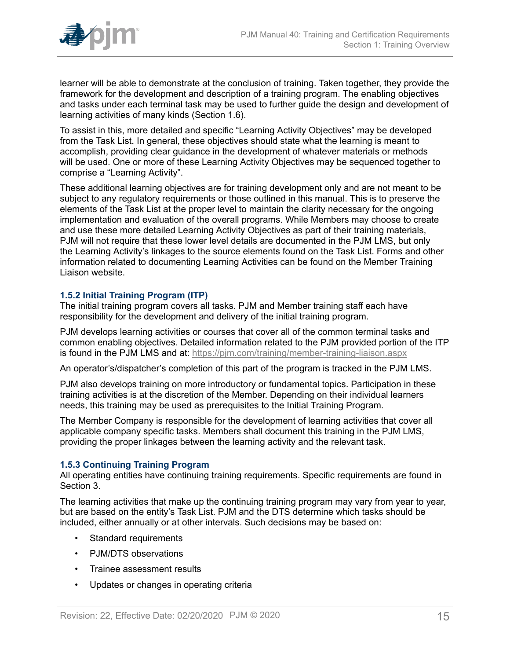

learner will be able to demonstrate at the conclusion of training. Taken together, they provide the framework for the development and description of a training program. The enabling objectives and tasks under each terminal task may be used to further guide the design and development of learning activities of many kinds (Section 1.6).

To assist in this, more detailed and specific "Learning Activity Objectives" may be developed from the Task List. In general, these objectives should state what the learning is meant to accomplish, providing clear guidance in the development of whatever materials or methods will be used. One or more of these Learning Activity Objectives may be sequenced together to comprise a "Learning Activity".

These additional learning objectives are for training development only and are not meant to be subject to any regulatory requirements or those outlined in this manual. This is to preserve the elements of the Task List at the proper level to maintain the clarity necessary for the ongoing implementation and evaluation of the overall programs. While Members may choose to create and use these more detailed Learning Activity Objectives as part of their training materials, PJM will not require that these lower level details are documented in the PJM LMS, but only the Learning Activity's linkages to the source elements found on the Task List. Forms and other information related to documenting Learning Activities can be found on the Member Training Liaison website.

#### <span id="page-14-0"></span>**1.5.2 Initial Training Program (ITP)**

The initial training program covers all tasks. PJM and Member training staff each have responsibility for the development and delivery of the initial training program.

PJM develops learning activities or courses that cover all of the common terminal tasks and common enabling objectives. Detailed information related to the PJM provided portion of the ITP is found in the PJM LMS and at: https://pim.com/training/member-training-liaison.aspx

An operator's/dispatcher's completion of this part of the program is tracked in the PJM LMS.

PJM also develops training on more introductory or fundamental topics. Participation in these training activities is at the discretion of the Member. Depending on their individual learners needs, this training may be used as prerequisites to the Initial Training Program.

The Member Company is responsible for the development of learning activities that cover all applicable company specific tasks. Members shall document this training in the PJM LMS, providing the proper linkages between the learning activity and the relevant task.

#### <span id="page-14-1"></span>**1.5.3 Continuing Training Program**

All operating entities have continuing training requirements. Specific requirements are found in Section 3.

The learning activities that make up the continuing training program may vary from year to year, but are based on the entity's Task List. PJM and the DTS determine which tasks should be included, either annually or at other intervals. Such decisions may be based on:

- Standard requirements
- PJM/DTS observations
- Trainee assessment results
- Updates or changes in operating criteria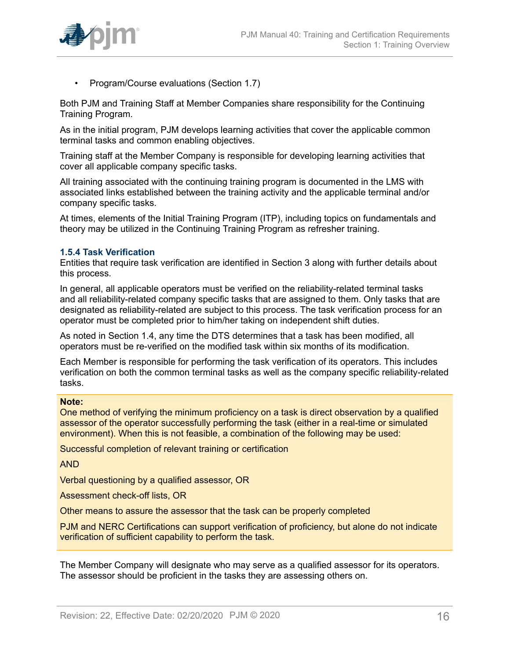

• Program/Course evaluations (Section 1.7)

Both PJM and Training Staff at Member Companies share responsibility for the Continuing Training Program.

As in the initial program, PJM develops learning activities that cover the applicable common terminal tasks and common enabling objectives.

Training staff at the Member Company is responsible for developing learning activities that cover all applicable company specific tasks.

All training associated with the continuing training program is documented in the LMS with associated links established between the training activity and the applicable terminal and/or company specific tasks.

At times, elements of the Initial Training Program (ITP), including topics on fundamentals and theory may be utilized in the Continuing Training Program as refresher training.

#### <span id="page-15-0"></span>**1.5.4 Task Verification**

Entities that require task verification are identified in Section 3 along with further details about this process.

In general, all applicable operators must be verified on the reliability-related terminal tasks and all reliability-related company specific tasks that are assigned to them. Only tasks that are designated as reliability-related are subject to this process. The task verification process for an operator must be completed prior to him/her taking on independent shift duties.

As noted in Section 1.4, any time the DTS determines that a task has been modified, all operators must be re-verified on the modified task within six months of its modification.

Each Member is responsible for performing the task verification of its operators. This includes verification on both the common terminal tasks as well as the company specific reliability-related tasks.

#### **Note:**

One method of verifying the minimum proficiency on a task is direct observation by a qualified assessor of the operator successfully performing the task (either in a real-time or simulated environment). When this is not feasible, a combination of the following may be used:

Successful completion of relevant training or certification

AND

Verbal questioning by a qualified assessor, OR

Assessment check-off lists, OR

Other means to assure the assessor that the task can be properly completed

PJM and NERC Certifications can support verification of proficiency, but alone do not indicate verification of sufficient capability to perform the task.

The Member Company will designate who may serve as a qualified assessor for its operators. The assessor should be proficient in the tasks they are assessing others on.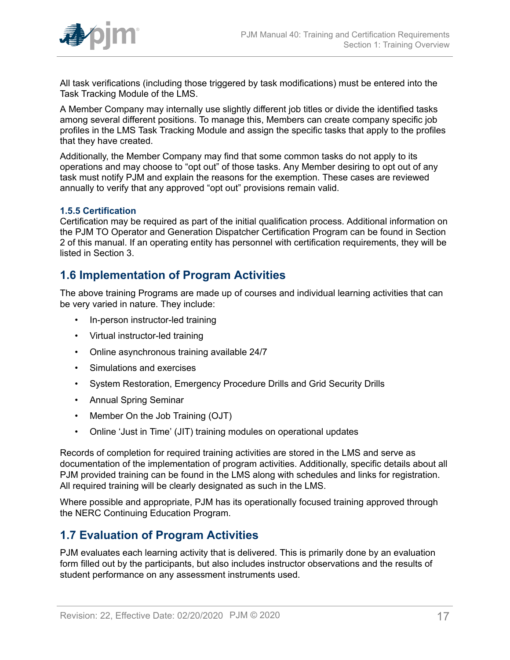

All task verifications (including those triggered by task modifications) must be entered into the Task Tracking Module of the LMS.

A Member Company may internally use slightly different job titles or divide the identified tasks among several different positions. To manage this, Members can create company specific job profiles in the LMS Task Tracking Module and assign the specific tasks that apply to the profiles that they have created.

Additionally, the Member Company may find that some common tasks do not apply to its operations and may choose to "opt out" of those tasks. Any Member desiring to opt out of any task must notify PJM and explain the reasons for the exemption. These cases are reviewed annually to verify that any approved "opt out" provisions remain valid.

#### <span id="page-16-0"></span>**1.5.5 Certification**

Certification may be required as part of the initial qualification process. Additional information on the PJM TO Operator and Generation Dispatcher Certification Program can be found in Section 2 of this manual. If an operating entity has personnel with certification requirements, they will be listed in Section 3.

## <span id="page-16-1"></span>**1.6 Implementation of Program Activities**

The above training Programs are made up of courses and individual learning activities that can be very varied in nature. They include:

- In-person instructor-led training
- Virtual instructor-led training
- Online asynchronous training available 24/7
- Simulations and exercises
- System Restoration, Emergency Procedure Drills and Grid Security Drills
- Annual Spring Seminar
- Member On the Job Training (OJT)
- Online 'Just in Time' (JIT) training modules on operational updates

Records of completion for required training activities are stored in the LMS and serve as documentation of the implementation of program activities. Additionally, specific details about all PJM provided training can be found in the LMS along with schedules and links for registration. All required training will be clearly designated as such in the LMS.

Where possible and appropriate, PJM has its operationally focused training approved through the NERC Continuing Education Program.

## <span id="page-16-2"></span>**1.7 Evaluation of Program Activities**

PJM evaluates each learning activity that is delivered. This is primarily done by an evaluation form filled out by the participants, but also includes instructor observations and the results of student performance on any assessment instruments used.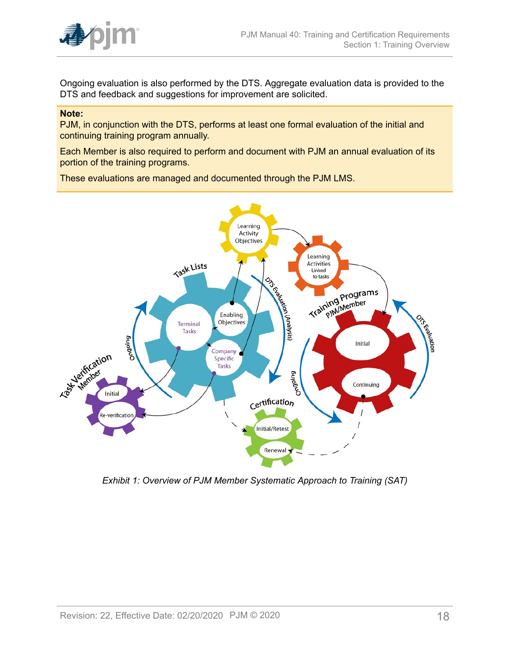

Ongoing evaluation is also performed by the DTS. Aggregate evaluation data is provided to the DTS and feedback and suggestions for improvement are solicited.

#### **Note:**

PJM, in conjunction with the DTS, performs at least one formal evaluation of the initial and continuing training program annually.

Each Member is also required to perform and document with PJM an annual evaluation of its portion of the training programs.

These evaluations are managed and documented through the PJM LMS.

<span id="page-17-0"></span>

*Exhibit 1: Overview of PJM Member Systematic Approach to Training (SAT)*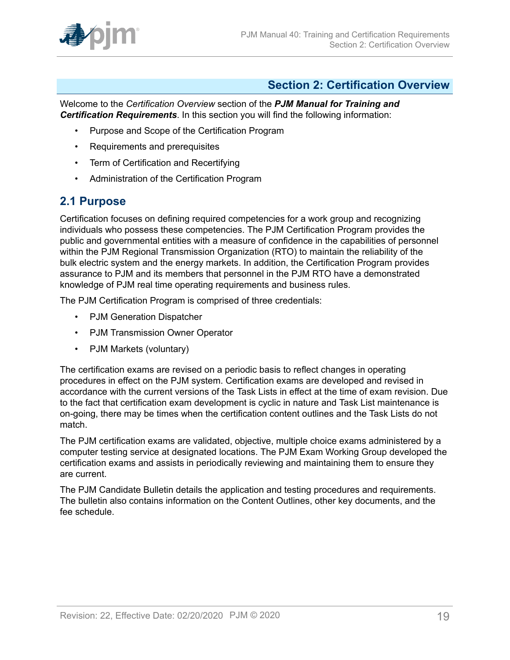

## <span id="page-18-0"></span>**Section 2: Certification Overview**

Welcome to the *Certification Overview* section of the *PJM Manual for Training and Certification Requirements*. In this section you will find the following information:

- Purpose and Scope of the Certification Program
- Requirements and prerequisites
- Term of Certification and Recertifying
- Administration of the Certification Program

# <span id="page-18-1"></span>**2.1 Purpose**

Certification focuses on defining required competencies for a work group and recognizing individuals who possess these competencies. The PJM Certification Program provides the public and governmental entities with a measure of confidence in the capabilities of personnel within the PJM Regional Transmission Organization (RTO) to maintain the reliability of the bulk electric system and the energy markets. In addition, the Certification Program provides assurance to PJM and its members that personnel in the PJM RTO have a demonstrated knowledge of PJM real time operating requirements and business rules.

The PJM Certification Program is comprised of three credentials:

- PJM Generation Dispatcher
- PJM Transmission Owner Operator
- PJM Markets (voluntary)

The certification exams are revised on a periodic basis to reflect changes in operating procedures in effect on the PJM system. Certification exams are developed and revised in accordance with the current versions of the Task Lists in effect at the time of exam revision. Due to the fact that certification exam development is cyclic in nature and Task List maintenance is on-going, there may be times when the certification content outlines and the Task Lists do not match.

The PJM certification exams are validated, objective, multiple choice exams administered by a computer testing service at designated locations. The PJM Exam Working Group developed the certification exams and assists in periodically reviewing and maintaining them to ensure they are current.

The PJM Candidate Bulletin details the application and testing procedures and requirements. The bulletin also contains information on the Content Outlines, other key documents, and the fee schedule.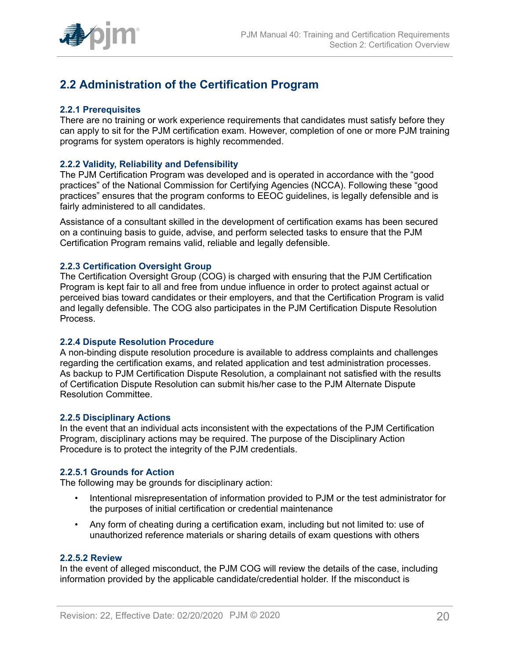

# <span id="page-19-0"></span>**2.2 Administration of the Certification Program**

#### <span id="page-19-1"></span>**2.2.1 Prerequisites**

There are no training or work experience requirements that candidates must satisfy before they can apply to sit for the PJM certification exam. However, completion of one or more PJM training programs for system operators is highly recommended.

#### <span id="page-19-2"></span>**2.2.2 Validity, Reliability and Defensibility**

The PJM Certification Program was developed and is operated in accordance with the "good practices" of the National Commission for Certifying Agencies (NCCA). Following these "good practices" ensures that the program conforms to EEOC guidelines, is legally defensible and is fairly administered to all candidates.

Assistance of a consultant skilled in the development of certification exams has been secured on a continuing basis to guide, advise, and perform selected tasks to ensure that the PJM Certification Program remains valid, reliable and legally defensible.

#### <span id="page-19-3"></span>**2.2.3 Certification Oversight Group**

The Certification Oversight Group (COG) is charged with ensuring that the PJM Certification Program is kept fair to all and free from undue influence in order to protect against actual or perceived bias toward candidates or their employers, and that the Certification Program is valid and legally defensible. The COG also participates in the PJM Certification Dispute Resolution Process.

#### <span id="page-19-4"></span>**2.2.4 Dispute Resolution Procedure**

A non-binding dispute resolution procedure is available to address complaints and challenges regarding the certification exams, and related application and test administration processes. As backup to PJM Certification Dispute Resolution, a complainant not satisfied with the results of Certification Dispute Resolution can submit his/her case to the PJM Alternate Dispute Resolution Committee.

#### <span id="page-19-5"></span>**2.2.5 Disciplinary Actions**

In the event that an individual acts inconsistent with the expectations of the PJM Certification Program, disciplinary actions may be required. The purpose of the Disciplinary Action Procedure is to protect the integrity of the PJM credentials.

#### <span id="page-19-6"></span>**2.2.5.1 Grounds for Action**

The following may be grounds for disciplinary action:

- Intentional misrepresentation of information provided to PJM or the test administrator for the purposes of initial certification or credential maintenance
- Any form of cheating during a certification exam, including but not limited to: use of unauthorized reference materials or sharing details of exam questions with others

#### <span id="page-19-7"></span>**2.2.5.2 Review**

In the event of alleged misconduct, the PJM COG will review the details of the case, including information provided by the applicable candidate/credential holder. If the misconduct is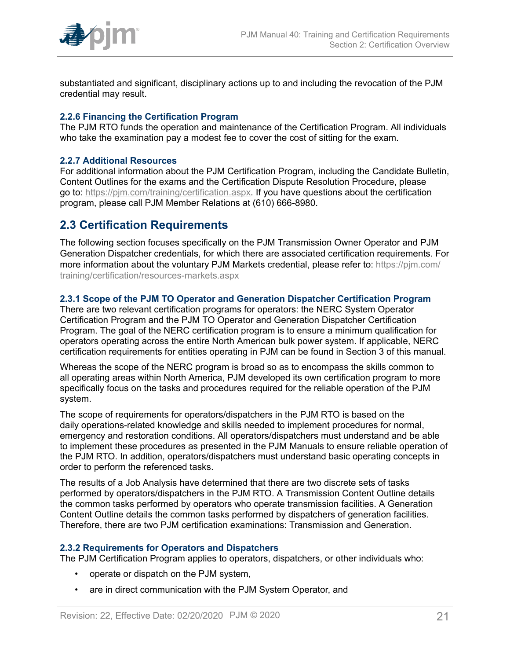

substantiated and significant, disciplinary actions up to and including the revocation of the PJM credential may result.

#### <span id="page-20-0"></span>**2.2.6 Financing the Certification Program**

The PJM RTO funds the operation and maintenance of the Certification Program. All individuals who take the examination pay a modest fee to cover the cost of sitting for the exam.

#### <span id="page-20-1"></span>**2.2.7 Additional Resources**

For additional information about the PJM Certification Program, including the Candidate Bulletin, Content Outlines for the exams and the Certification Dispute Resolution Procedure, please go to: [https://pjm.com/training/certification.aspx](http://pjm.com/training/certification.aspx). If you have questions about the certification program, please call PJM Member Relations at (610) 666-8980.

## <span id="page-20-2"></span>**2.3 Certification Requirements**

The following section focuses specifically on the PJM Transmission Owner Operator and PJM Generation Dispatcher credentials, for which there are associated certification requirements. For more information about the voluntary PJM Markets credential, please refer to: [https://pjm.com/](http://pjm.com/training/certification/resources-markets.aspx) [training/certification/resources-markets.aspx](http://pjm.com/training/certification/resources-markets.aspx)

#### <span id="page-20-3"></span>**2.3.1 Scope of the PJM TO Operator and Generation Dispatcher Certification Program**

There are two relevant certification programs for operators: the NERC System Operator Certification Program and the PJM TO Operator and Generation Dispatcher Certification Program. The goal of the NERC certification program is to ensure a minimum qualification for operators operating across the entire North American bulk power system. If applicable, NERC certification requirements for entities operating in PJM can be found in Section 3 of this manual.

Whereas the scope of the NERC program is broad so as to encompass the skills common to all operating areas within North America, PJM developed its own certification program to more specifically focus on the tasks and procedures required for the reliable operation of the PJM system.

The scope of requirements for operators/dispatchers in the PJM RTO is based on the daily operations-related knowledge and skills needed to implement procedures for normal, emergency and restoration conditions. All operators/dispatchers must understand and be able to implement these procedures as presented in the PJM Manuals to ensure reliable operation of the PJM RTO. In addition, operators/dispatchers must understand basic operating concepts in order to perform the referenced tasks.

The results of a Job Analysis have determined that there are two discrete sets of tasks performed by operators/dispatchers in the PJM RTO. A Transmission Content Outline details the common tasks performed by operators who operate transmission facilities. A Generation Content Outline details the common tasks performed by dispatchers of generation facilities. Therefore, there are two PJM certification examinations: Transmission and Generation.

#### <span id="page-20-4"></span>**2.3.2 Requirements for Operators and Dispatchers**

The PJM Certification Program applies to operators, dispatchers, or other individuals who:

- operate or dispatch on the PJM system,
- are in direct communication with the PJM System Operator, and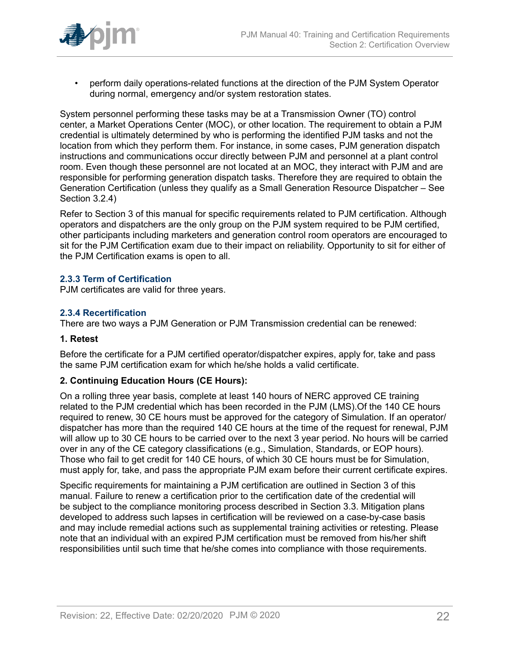

• perform daily operations-related functions at the direction of the PJM System Operator during normal, emergency and/or system restoration states.

System personnel performing these tasks may be at a Transmission Owner (TO) control center, a Market Operations Center (MOC), or other location. The requirement to obtain a PJM credential is ultimately determined by who is performing the identified PJM tasks and not the location from which they perform them. For instance, in some cases, PJM generation dispatch instructions and communications occur directly between PJM and personnel at a plant control room. Even though these personnel are not located at an MOC, they interact with PJM and are responsible for performing generation dispatch tasks. Therefore they are required to obtain the Generation Certification (unless they qualify as a Small Generation Resource Dispatcher – See Section 3.2.4)

Refer to Section 3 of this manual for specific requirements related to PJM certification. Although operators and dispatchers are the only group on the PJM system required to be PJM certified, other participants including marketers and generation control room operators are encouraged to sit for the PJM Certification exam due to their impact on reliability. Opportunity to sit for either of the PJM Certification exams is open to all.

#### <span id="page-21-0"></span>**2.3.3 Term of Certification**

PJM certificates are valid for three years.

#### <span id="page-21-1"></span>**2.3.4 Recertification**

There are two ways a PJM Generation or PJM Transmission credential can be renewed:

### **1. Retest**

Before the certificate for a PJM certified operator/dispatcher expires, apply for, take and pass the same PJM certification exam for which he/she holds a valid certificate.

#### **2. Continuing Education Hours (CE Hours):**

On a rolling three year basis, complete at least 140 hours of NERC approved CE training related to the PJM credential which has been recorded in the PJM (LMS).Of the 140 CE hours required to renew, 30 CE hours must be approved for the category of Simulation. If an operator/ dispatcher has more than the required 140 CE hours at the time of the request for renewal, PJM will allow up to 30 CE hours to be carried over to the next 3 year period. No hours will be carried over in any of the CE category classifications (e.g., Simulation, Standards, or EOP hours). Those who fail to get credit for 140 CE hours, of which 30 CE hours must be for Simulation, must apply for, take, and pass the appropriate PJM exam before their current certificate expires.

Specific requirements for maintaining a PJM certification are outlined in Section 3 of this manual. Failure to renew a certification prior to the certification date of the credential will be subject to the compliance monitoring process described in Section 3.3. Mitigation plans developed to address such lapses in certification will be reviewed on a case-by-case basis and may include remedial actions such as supplemental training activities or retesting. Please note that an individual with an expired PJM certification must be removed from his/her shift responsibilities until such time that he/she comes into compliance with those requirements.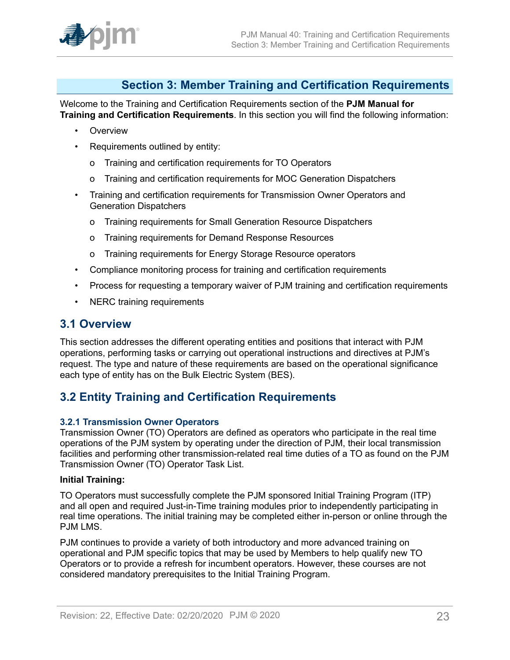

# <span id="page-22-0"></span>**Section 3: Member Training and Certification Requirements**

Welcome to the Training and Certification Requirements section of the **PJM Manual for Training and Certification Requirements**. In this section you will find the following information:

- Overview
- Requirements outlined by entity:
	- o Training and certification requirements for TO Operators
	- o Training and certification requirements for MOC Generation Dispatchers
- Training and certification requirements for Transmission Owner Operators and Generation Dispatchers
	- o Training requirements for Small Generation Resource Dispatchers
	- o Training requirements for Demand Response Resources
	- o Training requirements for Energy Storage Resource operators
- Compliance monitoring process for training and certification requirements
- Process for requesting a temporary waiver of PJM training and certification requirements
- NERC training requirements

## <span id="page-22-1"></span>**3.1 Overview**

This section addresses the different operating entities and positions that interact with PJM operations, performing tasks or carrying out operational instructions and directives at PJM's request. The type and nature of these requirements are based on the operational significance each type of entity has on the Bulk Electric System (BES).

# <span id="page-22-2"></span>**3.2 Entity Training and Certification Requirements**

#### <span id="page-22-3"></span>**3.2.1 Transmission Owner Operators**

Transmission Owner (TO) Operators are defined as operators who participate in the real time operations of the PJM system by operating under the direction of PJM, their local transmission facilities and performing other transmission-related real time duties of a TO as found on the PJM Transmission Owner (TO) Operator Task List.

#### **Initial Training:**

TO Operators must successfully complete the PJM sponsored Initial Training Program (ITP) and all open and required Just-in-Time training modules prior to independently participating in real time operations. The initial training may be completed either in-person or online through the PJM LMS.

PJM continues to provide a variety of both introductory and more advanced training on operational and PJM specific topics that may be used by Members to help qualify new TO Operators or to provide a refresh for incumbent operators. However, these courses are not considered mandatory prerequisites to the Initial Training Program.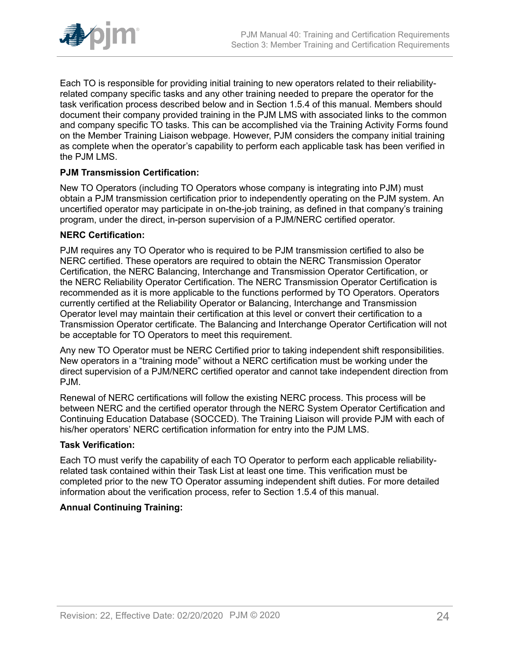

Each TO is responsible for providing initial training to new operators related to their reliabilityrelated company specific tasks and any other training needed to prepare the operator for the task verification process described below and in Section 1.5.4 of this manual. Members should document their company provided training in the PJM LMS with associated links to the common and company specific TO tasks. This can be accomplished via the Training Activity Forms found on the Member Training Liaison webpage. However, PJM considers the company initial training as complete when the operator's capability to perform each applicable task has been verified in the PJM LMS.

## **PJM Transmission Certification:**

New TO Operators (including TO Operators whose company is integrating into PJM) must obtain a PJM transmission certification prior to independently operating on the PJM system. An uncertified operator may participate in on-the-job training, as defined in that company's training program, under the direct, in-person supervision of a PJM/NERC certified operator.

#### **NERC Certification:**

PJM requires any TO Operator who is required to be PJM transmission certified to also be NERC certified. These operators are required to obtain the NERC Transmission Operator Certification, the NERC Balancing, Interchange and Transmission Operator Certification, or the NERC Reliability Operator Certification. The NERC Transmission Operator Certification is recommended as it is more applicable to the functions performed by TO Operators. Operators currently certified at the Reliability Operator or Balancing, Interchange and Transmission Operator level may maintain their certification at this level or convert their certification to a Transmission Operator certificate. The Balancing and Interchange Operator Certification will not be acceptable for TO Operators to meet this requirement.

Any new TO Operator must be NERC Certified prior to taking independent shift responsibilities. New operators in a "training mode" without a NERC certification must be working under the direct supervision of a PJM/NERC certified operator and cannot take independent direction from PJM.

Renewal of NERC certifications will follow the existing NERC process. This process will be between NERC and the certified operator through the NERC System Operator Certification and Continuing Education Database (SOCCED). The Training Liaison will provide PJM with each of his/her operators' NERC certification information for entry into the PJM LMS.

#### **Task Verification:**

Each TO must verify the capability of each TO Operator to perform each applicable reliabilityrelated task contained within their Task List at least one time. This verification must be completed prior to the new TO Operator assuming independent shift duties. For more detailed information about the verification process, refer to Section 1.5.4 of this manual.

#### **Annual Continuing Training:**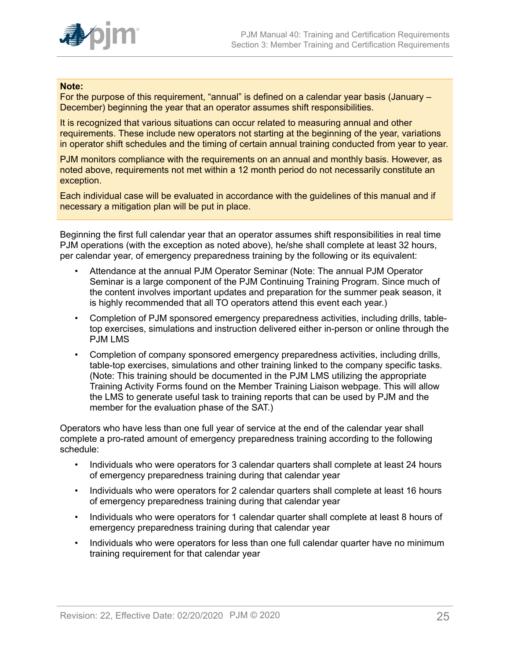

#### **Note:**

For the purpose of this requirement, "annual" is defined on a calendar year basis (January – December) beginning the year that an operator assumes shift responsibilities.

It is recognized that various situations can occur related to measuring annual and other requirements. These include new operators not starting at the beginning of the year, variations in operator shift schedules and the timing of certain annual training conducted from year to year.

PJM monitors compliance with the requirements on an annual and monthly basis. However, as noted above, requirements not met within a 12 month period do not necessarily constitute an exception.

Each individual case will be evaluated in accordance with the guidelines of this manual and if necessary a mitigation plan will be put in place.

Beginning the first full calendar year that an operator assumes shift responsibilities in real time PJM operations (with the exception as noted above), he/she shall complete at least 32 hours, per calendar year, of emergency preparedness training by the following or its equivalent:

- Attendance at the annual PJM Operator Seminar (Note: The annual PJM Operator Seminar is a large component of the PJM Continuing Training Program. Since much of the content involves important updates and preparation for the summer peak season, it is highly recommended that all TO operators attend this event each year.)
- Completion of PJM sponsored emergency preparedness activities, including drills, tabletop exercises, simulations and instruction delivered either in-person or online through the PJM LMS
- Completion of company sponsored emergency preparedness activities, including drills, table-top exercises, simulations and other training linked to the company specific tasks. (Note: This training should be documented in the PJM LMS utilizing the appropriate Training Activity Forms found on the Member Training Liaison webpage. This will allow the LMS to generate useful task to training reports that can be used by PJM and the member for the evaluation phase of the SAT.)

Operators who have less than one full year of service at the end of the calendar year shall complete a pro-rated amount of emergency preparedness training according to the following schedule:

- Individuals who were operators for 3 calendar quarters shall complete at least 24 hours of emergency preparedness training during that calendar year
- Individuals who were operators for 2 calendar quarters shall complete at least 16 hours of emergency preparedness training during that calendar year
- Individuals who were operators for 1 calendar quarter shall complete at least 8 hours of emergency preparedness training during that calendar year
- Individuals who were operators for less than one full calendar quarter have no minimum training requirement for that calendar year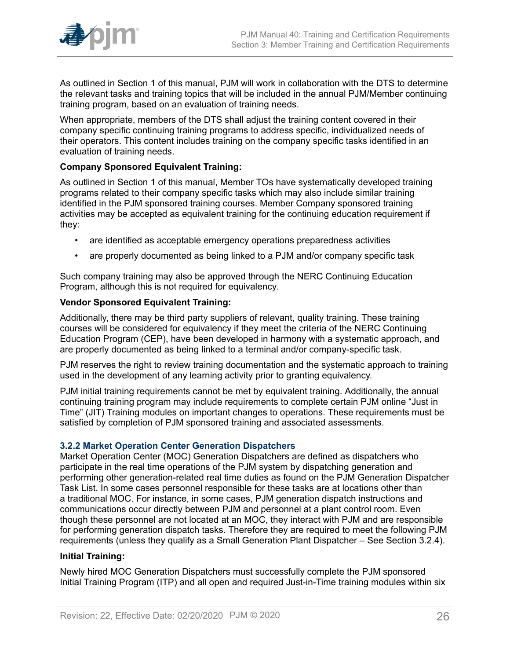

As outlined in Section 1 of this manual, PJM will work in collaboration with the DTS to determine the relevant tasks and training topics that will be included in the annual PJM/Member continuing training program, based on an evaluation of training needs.

When appropriate, members of the DTS shall adjust the training content covered in their company specific continuing training programs to address specific, individualized needs of their operators. This content includes training on the company specific tasks identified in an evaluation of training needs.

### **Company Sponsored Equivalent Training:**

As outlined in Section 1 of this manual, Member TOs have systematically developed training programs related to their company specific tasks which may also include similar training identified in the PJM sponsored training courses. Member Company sponsored training activities may be accepted as equivalent training for the continuing education requirement if they:

- are identified as acceptable emergency operations preparedness activities
- are properly documented as being linked to a PJM and/or company specific task

Such company training may also be approved through the NERC Continuing Education Program, although this is not required for equivalency.

## **Vendor Sponsored Equivalent Training:**

Additionally, there may be third party suppliers of relevant, quality training. These training courses will be considered for equivalency if they meet the criteria of the NERC Continuing Education Program (CEP), have been developed in harmony with a systematic approach, and are properly documented as being linked to a terminal and/or company-specific task.

PJM reserves the right to review training documentation and the systematic approach to training used in the development of any learning activity prior to granting equivalency.

PJM initial training requirements cannot be met by equivalent training. Additionally, the annual continuing training program may include requirements to complete certain PJM online "Just in Time" (JIT) Training modules on important changes to operations. These requirements must be satisfied by completion of PJM sponsored training and associated assessments.

#### <span id="page-25-0"></span>**3.2.2 Market Operation Center Generation Dispatchers**

Market Operation Center (MOC) Generation Dispatchers are defined as dispatchers who participate in the real time operations of the PJM system by dispatching generation and performing other generation-related real time duties as found on the PJM Generation Dispatcher Task List. In some cases personnel responsible for these tasks are at locations other than a traditional MOC. For instance, in some cases, PJM generation dispatch instructions and communications occur directly between PJM and personnel at a plant control room. Even though these personnel are not located at an MOC, they interact with PJM and are responsible for performing generation dispatch tasks. Therefore they are required to meet the following PJM requirements (unless they qualify as a Small Generation Plant Dispatcher – See Section 3.2.4).

#### **Initial Training:**

Newly hired MOC Generation Dispatchers must successfully complete the PJM sponsored Initial Training Program (ITP) and all open and required Just-in-Time training modules within six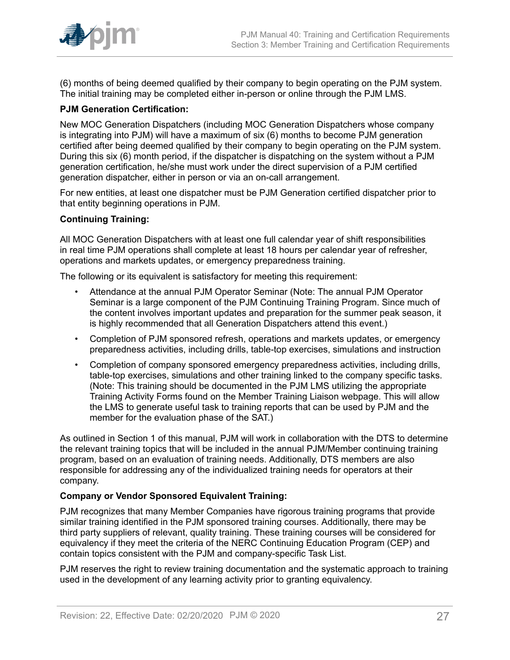

(6) months of being deemed qualified by their company to begin operating on the PJM system. The initial training may be completed either in-person or online through the PJM LMS.

#### **PJM Generation Certification:**

New MOC Generation Dispatchers (including MOC Generation Dispatchers whose company is integrating into PJM) will have a maximum of six (6) months to become PJM generation certified after being deemed qualified by their company to begin operating on the PJM system. During this six (6) month period, if the dispatcher is dispatching on the system without a PJM generation certification, he/she must work under the direct supervision of a PJM certified generation dispatcher, either in person or via an on-call arrangement.

For new entities, at least one dispatcher must be PJM Generation certified dispatcher prior to that entity beginning operations in PJM.

#### **Continuing Training:**

All MOC Generation Dispatchers with at least one full calendar year of shift responsibilities in real time PJM operations shall complete at least 18 hours per calendar year of refresher, operations and markets updates, or emergency preparedness training.

The following or its equivalent is satisfactory for meeting this requirement:

- Attendance at the annual PJM Operator Seminar (Note: The annual PJM Operator Seminar is a large component of the PJM Continuing Training Program. Since much of the content involves important updates and preparation for the summer peak season, it is highly recommended that all Generation Dispatchers attend this event.)
- Completion of PJM sponsored refresh, operations and markets updates, or emergency preparedness activities, including drills, table-top exercises, simulations and instruction
- Completion of company sponsored emergency preparedness activities, including drills, table-top exercises, simulations and other training linked to the company specific tasks. (Note: This training should be documented in the PJM LMS utilizing the appropriate Training Activity Forms found on the Member Training Liaison webpage. This will allow the LMS to generate useful task to training reports that can be used by PJM and the member for the evaluation phase of the SAT.)

As outlined in Section 1 of this manual, PJM will work in collaboration with the DTS to determine the relevant training topics that will be included in the annual PJM/Member continuing training program, based on an evaluation of training needs. Additionally, DTS members are also responsible for addressing any of the individualized training needs for operators at their company.

#### **Company or Vendor Sponsored Equivalent Training:**

PJM recognizes that many Member Companies have rigorous training programs that provide similar training identified in the PJM sponsored training courses. Additionally, there may be third party suppliers of relevant, quality training. These training courses will be considered for equivalency if they meet the criteria of the NERC Continuing Education Program (CEP) and contain topics consistent with the PJM and company-specific Task List.

PJM reserves the right to review training documentation and the systematic approach to training used in the development of any learning activity prior to granting equivalency.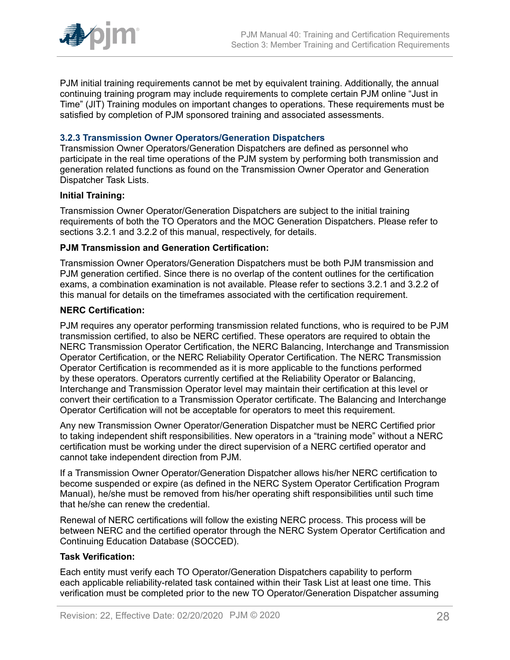

PJM initial training requirements cannot be met by equivalent training. Additionally, the annual continuing training program may include requirements to complete certain PJM online "Just in Time" (JIT) Training modules on important changes to operations. These requirements must be satisfied by completion of PJM sponsored training and associated assessments.

#### <span id="page-27-0"></span>**3.2.3 Transmission Owner Operators/Generation Dispatchers**

Transmission Owner Operators/Generation Dispatchers are defined as personnel who participate in the real time operations of the PJM system by performing both transmission and generation related functions as found on the Transmission Owner Operator and Generation Dispatcher Task Lists.

#### **Initial Training:**

Transmission Owner Operator/Generation Dispatchers are subject to the initial training requirements of both the TO Operators and the MOC Generation Dispatchers. Please refer to sections 3.2.1 and 3.2.2 of this manual, respectively, for details.

#### **PJM Transmission and Generation Certification:**

Transmission Owner Operators/Generation Dispatchers must be both PJM transmission and PJM generation certified. Since there is no overlap of the content outlines for the certification exams, a combination examination is not available. Please refer to sections 3.2.1 and 3.2.2 of this manual for details on the timeframes associated with the certification requirement.

#### **NERC Certification:**

PJM requires any operator performing transmission related functions, who is required to be PJM transmission certified, to also be NERC certified. These operators are required to obtain the NERC Transmission Operator Certification, the NERC Balancing, Interchange and Transmission Operator Certification, or the NERC Reliability Operator Certification. The NERC Transmission Operator Certification is recommended as it is more applicable to the functions performed by these operators. Operators currently certified at the Reliability Operator or Balancing, Interchange and Transmission Operator level may maintain their certification at this level or convert their certification to a Transmission Operator certificate. The Balancing and Interchange Operator Certification will not be acceptable for operators to meet this requirement.

Any new Transmission Owner Operator/Generation Dispatcher must be NERC Certified prior to taking independent shift responsibilities. New operators in a "training mode" without a NERC certification must be working under the direct supervision of a NERC certified operator and cannot take independent direction from PJM.

If a Transmission Owner Operator/Generation Dispatcher allows his/her NERC certification to become suspended or expire (as defined in the NERC System Operator Certification Program Manual), he/she must be removed from his/her operating shift responsibilities until such time that he/she can renew the credential.

Renewal of NERC certifications will follow the existing NERC process. This process will be between NERC and the certified operator through the NERC System Operator Certification and Continuing Education Database (SOCCED).

#### **Task Verification:**

Each entity must verify each TO Operator/Generation Dispatchers capability to perform each applicable reliability-related task contained within their Task List at least one time. This verification must be completed prior to the new TO Operator/Generation Dispatcher assuming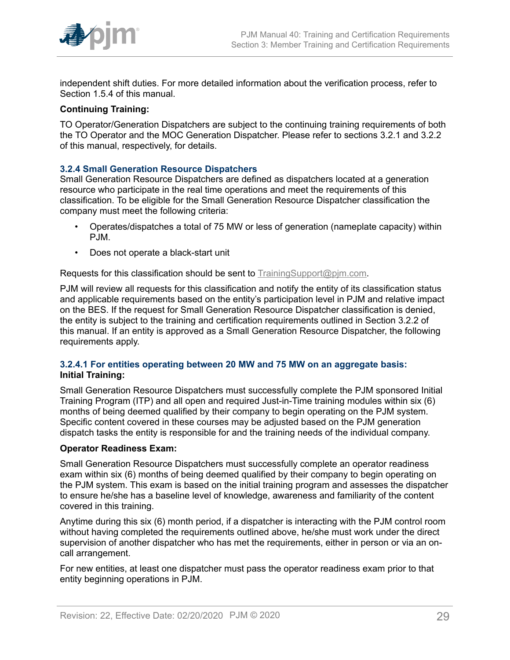

independent shift duties. For more detailed information about the verification process, refer to Section 1.5.4 of this manual.

#### **Continuing Training:**

TO Operator/Generation Dispatchers are subject to the continuing training requirements of both the TO Operator and the MOC Generation Dispatcher. Please refer to sections 3.2.1 and 3.2.2 of this manual, respectively, for details.

#### <span id="page-28-0"></span>**3.2.4 Small Generation Resource Dispatchers**

Small Generation Resource Dispatchers are defined as dispatchers located at a generation resource who participate in the real time operations and meet the requirements of this classification. To be eligible for the Small Generation Resource Dispatcher classification the company must meet the following criteria:

- Operates/dispatches a total of 75 MW or less of generation (nameplate capacity) within PJM.
- Does not operate a black-start unit

#### Requests for this classification should be sent to [TrainingSupport@pjm.com](mailto:TrainingSupport@pjm.com).

PJM will review all requests for this classification and notify the entity of its classification status and applicable requirements based on the entity's participation level in PJM and relative impact on the BES. If the request for Small Generation Resource Dispatcher classification is denied, the entity is subject to the training and certification requirements outlined in Section 3.2.2 of this manual. If an entity is approved as a Small Generation Resource Dispatcher, the following requirements apply.

#### <span id="page-28-1"></span>**3.2.4.1 For entities operating between 20 MW and 75 MW on an aggregate basis: Initial Training:**

Small Generation Resource Dispatchers must successfully complete the PJM sponsored Initial Training Program (ITP) and all open and required Just-in-Time training modules within six (6) months of being deemed qualified by their company to begin operating on the PJM system. Specific content covered in these courses may be adjusted based on the PJM generation dispatch tasks the entity is responsible for and the training needs of the individual company.

#### **Operator Readiness Exam:**

Small Generation Resource Dispatchers must successfully complete an operator readiness exam within six (6) months of being deemed qualified by their company to begin operating on the PJM system. This exam is based on the initial training program and assesses the dispatcher to ensure he/she has a baseline level of knowledge, awareness and familiarity of the content covered in this training.

Anytime during this six (6) month period, if a dispatcher is interacting with the PJM control room without having completed the requirements outlined above, he/she must work under the direct supervision of another dispatcher who has met the requirements, either in person or via an oncall arrangement.

For new entities, at least one dispatcher must pass the operator readiness exam prior to that entity beginning operations in PJM.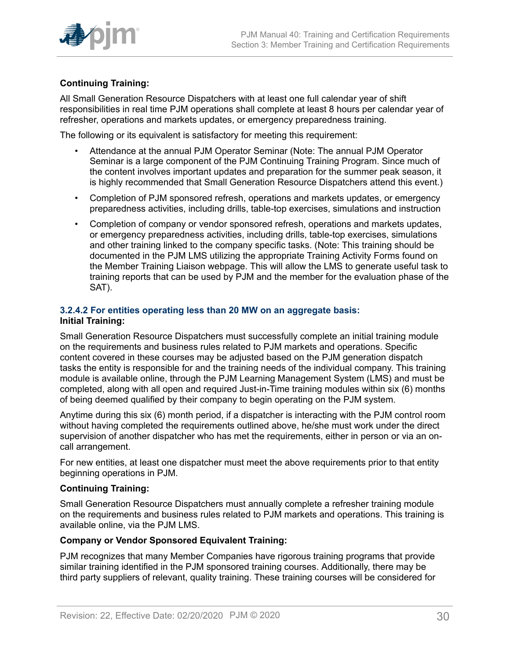

## **Continuing Training:**

All Small Generation Resource Dispatchers with at least one full calendar year of shift responsibilities in real time PJM operations shall complete at least 8 hours per calendar year of refresher, operations and markets updates, or emergency preparedness training.

The following or its equivalent is satisfactory for meeting this requirement:

- Attendance at the annual PJM Operator Seminar (Note: The annual PJM Operator Seminar is a large component of the PJM Continuing Training Program. Since much of the content involves important updates and preparation for the summer peak season, it is highly recommended that Small Generation Resource Dispatchers attend this event.)
- Completion of PJM sponsored refresh, operations and markets updates, or emergency preparedness activities, including drills, table-top exercises, simulations and instruction
- Completion of company or vendor sponsored refresh, operations and markets updates, or emergency preparedness activities, including drills, table-top exercises, simulations and other training linked to the company specific tasks. (Note: This training should be documented in the PJM LMS utilizing the appropriate Training Activity Forms found on the Member Training Liaison webpage. This will allow the LMS to generate useful task to training reports that can be used by PJM and the member for the evaluation phase of the SAT).

### <span id="page-29-0"></span>**3.2.4.2 For entities operating less than 20 MW on an aggregate basis: Initial Training:**

Small Generation Resource Dispatchers must successfully complete an initial training module on the requirements and business rules related to PJM markets and operations. Specific content covered in these courses may be adjusted based on the PJM generation dispatch tasks the entity is responsible for and the training needs of the individual company. This training module is available online, through the PJM Learning Management System (LMS) and must be completed, along with all open and required Just-in-Time training modules within six (6) months of being deemed qualified by their company to begin operating on the PJM system.

Anytime during this six (6) month period, if a dispatcher is interacting with the PJM control room without having completed the requirements outlined above, he/she must work under the direct supervision of another dispatcher who has met the requirements, either in person or via an oncall arrangement.

For new entities, at least one dispatcher must meet the above requirements prior to that entity beginning operations in PJM.

#### **Continuing Training:**

Small Generation Resource Dispatchers must annually complete a refresher training module on the requirements and business rules related to PJM markets and operations. This training is available online, via the PJM LMS.

#### **Company or Vendor Sponsored Equivalent Training:**

PJM recognizes that many Member Companies have rigorous training programs that provide similar training identified in the PJM sponsored training courses. Additionally, there may be third party suppliers of relevant, quality training. These training courses will be considered for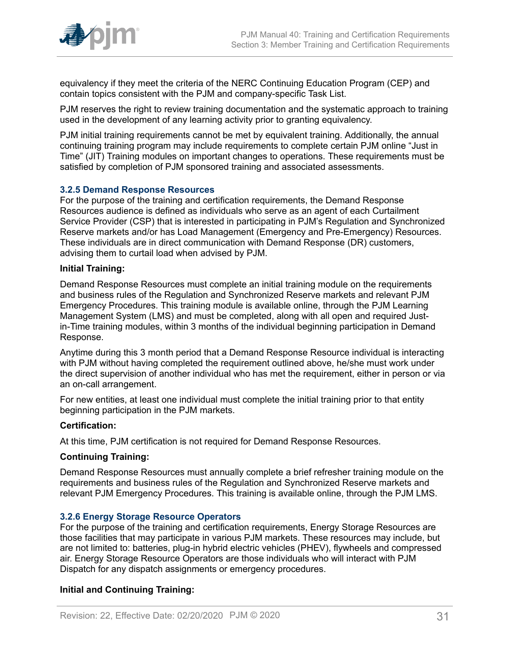

equivalency if they meet the criteria of the NERC Continuing Education Program (CEP) and contain topics consistent with the PJM and company-specific Task List.

PJM reserves the right to review training documentation and the systematic approach to training used in the development of any learning activity prior to granting equivalency.

PJM initial training requirements cannot be met by equivalent training. Additionally, the annual continuing training program may include requirements to complete certain PJM online "Just in Time" (JIT) Training modules on important changes to operations. These requirements must be satisfied by completion of PJM sponsored training and associated assessments.

#### <span id="page-30-0"></span>**3.2.5 Demand Response Resources**

For the purpose of the training and certification requirements, the Demand Response Resources audience is defined as individuals who serve as an agent of each Curtailment Service Provider (CSP) that is interested in participating in PJM's Regulation and Synchronized Reserve markets and/or has Load Management (Emergency and Pre-Emergency) Resources. These individuals are in direct communication with Demand Response (DR) customers, advising them to curtail load when advised by PJM.

#### **Initial Training:**

Demand Response Resources must complete an initial training module on the requirements and business rules of the Regulation and Synchronized Reserve markets and relevant PJM Emergency Procedures. This training module is available online, through the PJM Learning Management System (LMS) and must be completed, along with all open and required Justin-Time training modules, within 3 months of the individual beginning participation in Demand Response.

Anytime during this 3 month period that a Demand Response Resource individual is interacting with PJM without having completed the requirement outlined above, he/she must work under the direct supervision of another individual who has met the requirement, either in person or via an on-call arrangement.

For new entities, at least one individual must complete the initial training prior to that entity beginning participation in the PJM markets.

#### **Certification:**

At this time, PJM certification is not required for Demand Response Resources.

#### **Continuing Training:**

Demand Response Resources must annually complete a brief refresher training module on the requirements and business rules of the Regulation and Synchronized Reserve markets and relevant PJM Emergency Procedures. This training is available online, through the PJM LMS.

#### <span id="page-30-1"></span>**3.2.6 Energy Storage Resource Operators**

For the purpose of the training and certification requirements, Energy Storage Resources are those facilities that may participate in various PJM markets. These resources may include, but are not limited to: batteries, plug-in hybrid electric vehicles (PHEV), flywheels and compressed air. Energy Storage Resource Operators are those individuals who will interact with PJM Dispatch for any dispatch assignments or emergency procedures.

#### **Initial and Continuing Training:**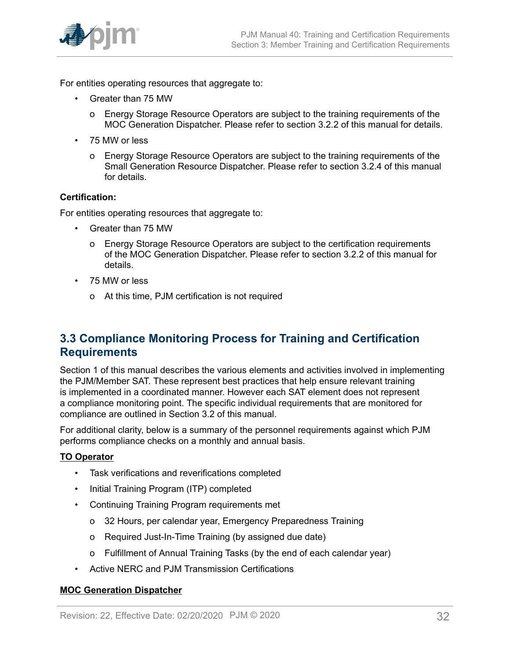

For entities operating resources that aggregate to:

- Greater than 75 MW
	- o Energy Storage Resource Operators are subject to the training requirements of the MOC Generation Dispatcher. Please refer to section 3.2.2 of this manual for details.
- 75 MW or less
	- o Energy Storage Resource Operators are subject to the training requirements of the Small Generation Resource Dispatcher. Please refer to section 3.2.4 of this manual for details.

#### **Certification:**

For entities operating resources that aggregate to:

- Greater than 75 MW
	- o Energy Storage Resource Operators are subject to the certification requirements of the MOC Generation Dispatcher. Please refer to section 3.2.2 of this manual for details.
- 75 MW or less
	- o At this time, PJM certification is not required

# <span id="page-31-0"></span>**3.3 Compliance Monitoring Process for Training and Certification Requirements**

Section 1 of this manual describes the various elements and activities involved in implementing the PJM/Member SAT. These represent best practices that help ensure relevant training is implemented in a coordinated manner. However each SAT element does not represent a compliance monitoring point. The specific individual requirements that are monitored for compliance are outlined in Section 3.2 of this manual.

For additional clarity, below is a summary of the personnel requirements against which PJM performs compliance checks on a monthly and annual basis.

#### **TO Operator**

- Task verifications and reverifications completed
- Initial Training Program (ITP) completed
- Continuing Training Program requirements met
	- o 32 Hours, per calendar year, Emergency Preparedness Training
	- o Required Just-In-Time Training (by assigned due date)
	- o Fulfillment of Annual Training Tasks (by the end of each calendar year)
- Active NERC and PJM Transmission Certifications

#### **MOC Generation Dispatcher**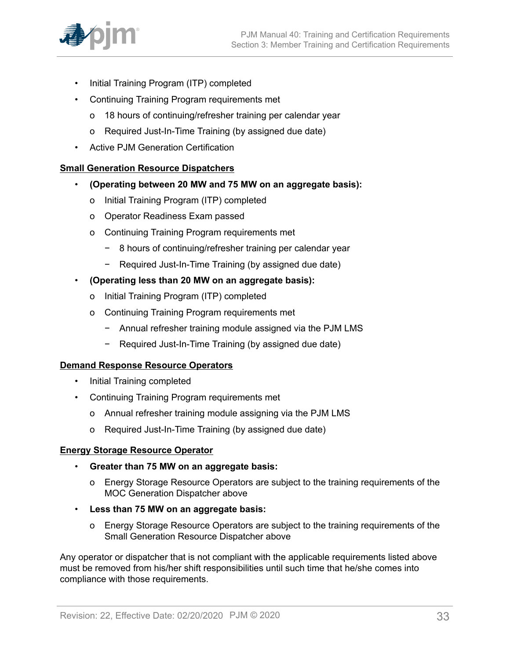

- Initial Training Program (ITP) completed
- Continuing Training Program requirements met
	- o 18 hours of continuing/refresher training per calendar year
	- o Required Just-In-Time Training (by assigned due date)
- Active PJM Generation Certification

#### **Small Generation Resource Dispatchers**

- **(Operating between 20 MW and 75 MW on an aggregate basis):**
	- o Initial Training Program (ITP) completed
	- o Operator Readiness Exam passed
	- o Continuing Training Program requirements met
		- − 8 hours of continuing/refresher training per calendar year
		- − Required Just-In-Time Training (by assigned due date)
- **(Operating less than 20 MW on an aggregate basis):**
	- o Initial Training Program (ITP) completed
	- o Continuing Training Program requirements met
		- − Annual refresher training module assigned via the PJM LMS
		- − Required Just-In-Time Training (by assigned due date)

#### **Demand Response Resource Operators**

- Initial Training completed
- Continuing Training Program requirements met
	- o Annual refresher training module assigning via the PJM LMS
	- o Required Just-In-Time Training (by assigned due date)

#### **Energy Storage Resource Operator**

- **Greater than 75 MW on an aggregate basis:**
	- o Energy Storage Resource Operators are subject to the training requirements of the MOC Generation Dispatcher above
- **Less than 75 MW on an aggregate basis:**
	- o Energy Storage Resource Operators are subject to the training requirements of the Small Generation Resource Dispatcher above

Any operator or dispatcher that is not compliant with the applicable requirements listed above must be removed from his/her shift responsibilities until such time that he/she comes into compliance with those requirements.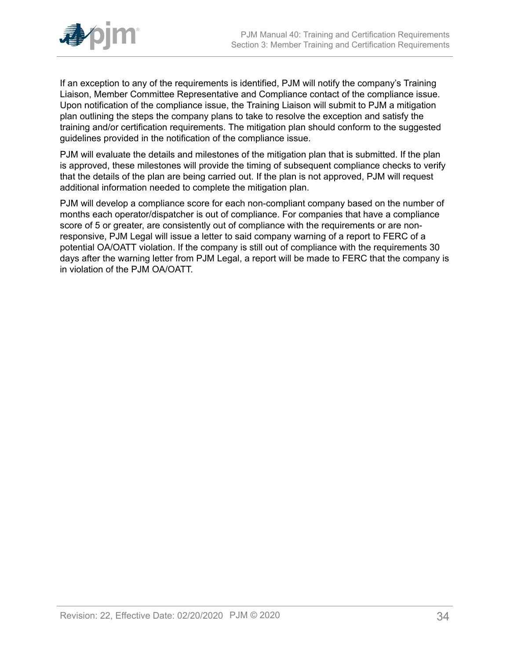

If an exception to any of the requirements is identified, PJM will notify the company's Training Liaison, Member Committee Representative and Compliance contact of the compliance issue. Upon notification of the compliance issue, the Training Liaison will submit to PJM a mitigation plan outlining the steps the company plans to take to resolve the exception and satisfy the training and/or certification requirements. The mitigation plan should conform to the suggested guidelines provided in the notification of the compliance issue.

PJM will evaluate the details and milestones of the mitigation plan that is submitted. If the plan is approved, these milestones will provide the timing of subsequent compliance checks to verify that the details of the plan are being carried out. If the plan is not approved, PJM will request additional information needed to complete the mitigation plan.

PJM will develop a compliance score for each non-compliant company based on the number of months each operator/dispatcher is out of compliance. For companies that have a compliance score of 5 or greater, are consistently out of compliance with the requirements or are nonresponsive, PJM Legal will issue a letter to said company warning of a report to FERC of a potential OA/OATT violation. If the company is still out of compliance with the requirements 30 days after the warning letter from PJM Legal, a report will be made to FERC that the company is in violation of the PJM OA/OATT.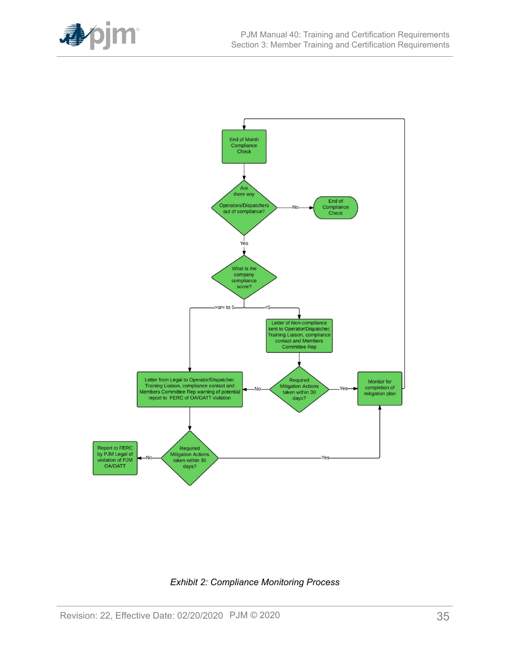

<span id="page-34-0"></span>

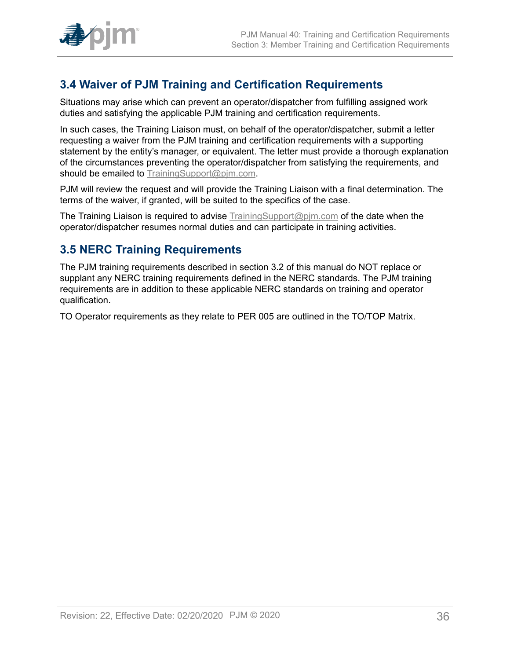

# <span id="page-35-0"></span>**3.4 Waiver of PJM Training and Certification Requirements**

Situations may arise which can prevent an operator/dispatcher from fulfilling assigned work duties and satisfying the applicable PJM training and certification requirements.

In such cases, the Training Liaison must, on behalf of the operator/dispatcher, submit a letter requesting a waiver from the PJM training and certification requirements with a supporting statement by the entity's manager, or equivalent. The letter must provide a thorough explanation of the circumstances preventing the operator/dispatcher from satisfying the requirements, and should be emailed to [TrainingSupport@pjm.com](mailto:TrainingSupport@pjm.com).

PJM will review the request and will provide the Training Liaison with a final determination. The terms of the waiver, if granted, will be suited to the specifics of the case.

The Training Liaison is required to advise **TrainingSupport@pim.com** of the date when the operator/dispatcher resumes normal duties and can participate in training activities.

# <span id="page-35-1"></span>**3.5 NERC Training Requirements**

The PJM training requirements described in section 3.2 of this manual do NOT replace or supplant any NERC training requirements defined in the NERC standards. The PJM training requirements are in addition to these applicable NERC standards on training and operator qualification.

TO Operator requirements as they relate to PER 005 are outlined in the TO/TOP Matrix.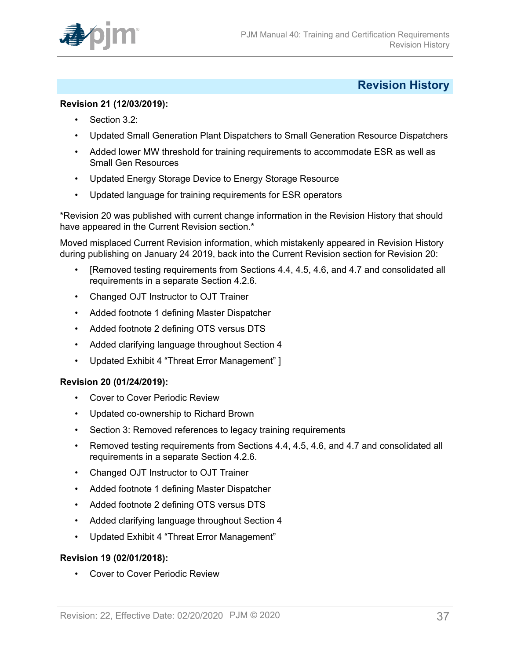

# <span id="page-36-0"></span>**Revision History**

#### **Revision 21 (12/03/2019):**

- Section 3.2:
- Updated Small Generation Plant Dispatchers to Small Generation Resource Dispatchers
- Added lower MW threshold for training requirements to accommodate ESR as well as Small Gen Resources
- Updated Energy Storage Device to Energy Storage Resource
- Updated language for training requirements for ESR operators

\*Revision 20 was published with current change information in the Revision History that should have appeared in the Current Revision section.\*

Moved misplaced Current Revision information, which mistakenly appeared in Revision History during publishing on January 24 2019, back into the Current Revision section for Revision 20:

- [Removed testing requirements from Sections 4.4, 4.5, 4.6, and 4.7 and consolidated all requirements in a separate Section 4.2.6.
- Changed OJT Instructor to OJT Trainer
- Added footnote 1 defining Master Dispatcher
- Added footnote 2 defining OTS versus DTS
- Added clarifying language throughout Section 4
- Updated Exhibit 4 "Threat Error Management" ]

#### **Revision 20 (01/24/2019):**

- Cover to Cover Periodic Review
- Updated co-ownership to Richard Brown
- Section 3: Removed references to legacy training requirements
- Removed testing requirements from Sections 4.4, 4.5, 4.6, and 4.7 and consolidated all requirements in a separate Section 4.2.6.
- Changed OJT Instructor to OJT Trainer
- Added footnote 1 defining Master Dispatcher
- Added footnote 2 defining OTS versus DTS
- Added clarifying language throughout Section 4
- Updated Exhibit 4 "Threat Error Management"

#### **Revision 19 (02/01/2018):**

• Cover to Cover Periodic Review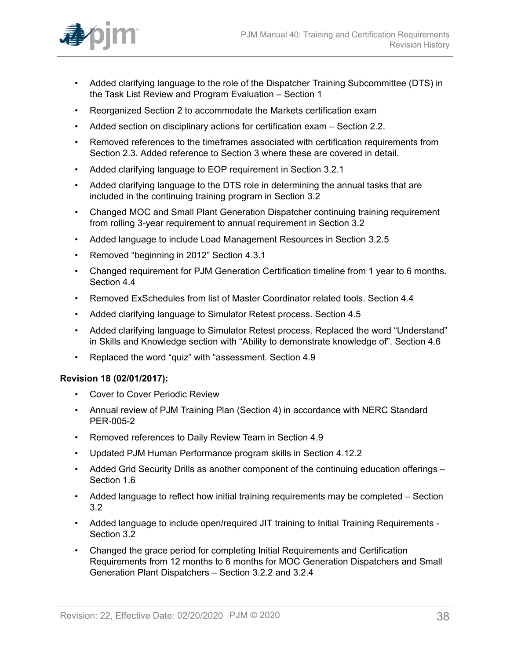

- Added clarifying language to the role of the Dispatcher Training Subcommittee (DTS) in the Task List Review and Program Evaluation – Section 1
- Reorganized Section 2 to accommodate the Markets certification exam
- Added section on disciplinary actions for certification exam Section 2.2.
- Removed references to the timeframes associated with certification requirements from Section 2.3. Added reference to Section 3 where these are covered in detail.
- Added clarifying language to EOP requirement in Section 3.2.1
- Added clarifying language to the DTS role in determining the annual tasks that are included in the continuing training program in Section 3.2
- Changed MOC and Small Plant Generation Dispatcher continuing training requirement from rolling 3-year requirement to annual requirement in Section 3.2
- Added language to include Load Management Resources in Section 3.2.5
- Removed "beginning in 2012" Section 4.3.1
- Changed requirement for PJM Generation Certification timeline from 1 year to 6 months. Section 4.4
- Removed ExSchedules from list of Master Coordinator related tools. Section 4.4
- Added clarifying language to Simulator Retest process. Section 4.5
- Added clarifying language to Simulator Retest process. Replaced the word "Understand" in Skills and Knowledge section with "Ability to demonstrate knowledge of". Section 4.6
- Replaced the word "quiz" with "assessment. Section 4.9

#### **Revision 18 (02/01/2017):**

- Cover to Cover Periodic Review
- Annual review of PJM Training Plan (Section 4) in accordance with NERC Standard PER-005-2
- Removed references to Daily Review Team in Section 4.9
- Updated PJM Human Performance program skills in Section 4.12.2
- Added Grid Security Drills as another component of the continuing education offerings Section 1.6
- Added language to reflect how initial training requirements may be completed Section 3.2
- Added language to include open/required JIT training to Initial Training Requirements Section 3.2
- Changed the grace period for completing Initial Requirements and Certification Requirements from 12 months to 6 months for MOC Generation Dispatchers and Small Generation Plant Dispatchers – Section 3.2.2 and 3.2.4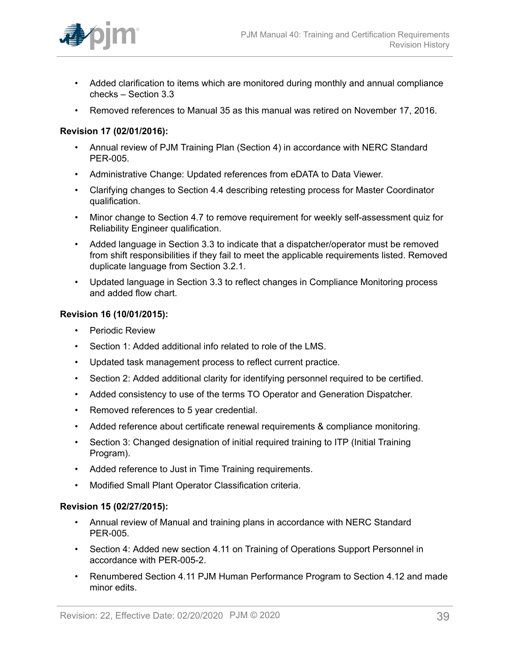

- Added clarification to items which are monitored during monthly and annual compliance checks – Section 3.3
- Removed references to Manual 35 as this manual was retired on November 17, 2016.

## **Revision 17 (02/01/2016):**

- Annual review of PJM Training Plan (Section 4) in accordance with NERC Standard PER-005.
- Administrative Change: Updated references from eDATA to Data Viewer.
- Clarifying changes to Section 4.4 describing retesting process for Master Coordinator qualification.
- Minor change to Section 4.7 to remove requirement for weekly self-assessment quiz for Reliability Engineer qualification.
- Added language in Section 3.3 to indicate that a dispatcher/operator must be removed from shift responsibilities if they fail to meet the applicable requirements listed. Removed duplicate language from Section 3.2.1.
- Updated language in Section 3.3 to reflect changes in Compliance Monitoring process and added flow chart.

#### **Revision 16 (10/01/2015):**

- Periodic Review
- Section 1: Added additional info related to role of the LMS.
- Updated task management process to reflect current practice.
- Section 2: Added additional clarity for identifying personnel required to be certified.
- Added consistency to use of the terms TO Operator and Generation Dispatcher.
- Removed references to 5 year credential.
- Added reference about certificate renewal requirements & compliance monitoring.
- Section 3: Changed designation of initial required training to ITP (Initial Training Program).
- Added reference to Just in Time Training requirements.
- Modified Small Plant Operator Classification criteria.

#### **Revision 15 (02/27/2015):**

- Annual review of Manual and training plans in accordance with NERC Standard PER-005.
- Section 4: Added new section 4.11 on Training of Operations Support Personnel in accordance with PER-005-2.
- Renumbered Section 4.11 PJM Human Performance Program to Section 4.12 and made minor edits.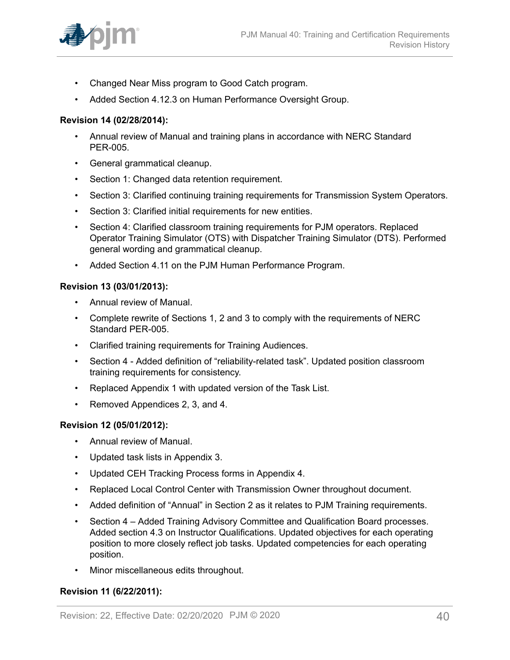

- Changed Near Miss program to Good Catch program.
- Added Section 4.12.3 on Human Performance Oversight Group.

#### **Revision 14 (02/28/2014):**

- Annual review of Manual and training plans in accordance with NERC Standard PER-005.
- General grammatical cleanup.
- Section 1: Changed data retention requirement.
- Section 3: Clarified continuing training requirements for Transmission System Operators.
- Section 3: Clarified initial requirements for new entities.
- Section 4: Clarified classroom training requirements for PJM operators. Replaced Operator Training Simulator (OTS) with Dispatcher Training Simulator (DTS). Performed general wording and grammatical cleanup.
- Added Section 4.11 on the PJM Human Performance Program.

#### **Revision 13 (03/01/2013):**

- Annual review of Manual.
- Complete rewrite of Sections 1, 2 and 3 to comply with the requirements of NERC Standard PER-005.
- Clarified training requirements for Training Audiences.
- Section 4 Added definition of "reliability-related task". Updated position classroom training requirements for consistency.
- Replaced Appendix 1 with updated version of the Task List.
- Removed Appendices 2, 3, and 4.

#### **Revision 12 (05/01/2012):**

- Annual review of Manual.
- Updated task lists in Appendix 3.
- Updated CEH Tracking Process forms in Appendix 4.
- Replaced Local Control Center with Transmission Owner throughout document.
- Added definition of "Annual" in Section 2 as it relates to PJM Training requirements.
- Section 4 Added Training Advisory Committee and Qualification Board processes. Added section 4.3 on Instructor Qualifications. Updated objectives for each operating position to more closely reflect job tasks. Updated competencies for each operating position.
- Minor miscellaneous edits throughout.

#### **Revision 11 (6/22/2011):**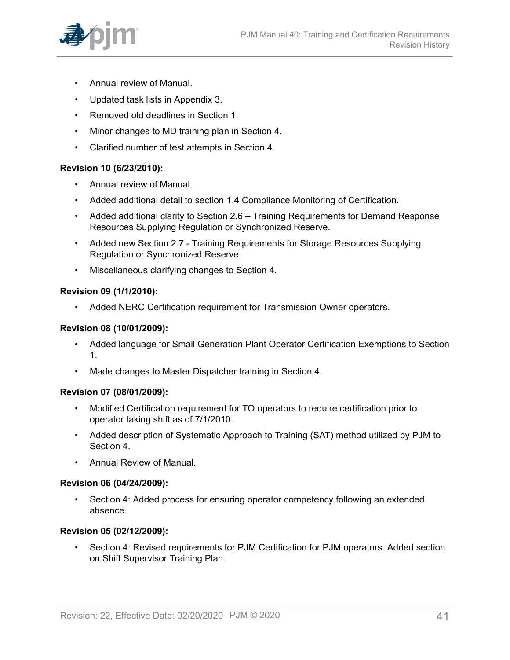

- Annual review of Manual.
- Updated task lists in Appendix 3.
- Removed old deadlines in Section 1.
- Minor changes to MD training plan in Section 4.
- Clarified number of test attempts in Section 4.

## **Revision 10 (6/23/2010):**

- Annual review of Manual.
- Added additional detail to section 1.4 Compliance Monitoring of Certification.
- Added additional clarity to Section 2.6 Training Requirements for Demand Response Resources Supplying Regulation or Synchronized Reserve.
- Added new Section 2.7 Training Requirements for Storage Resources Supplying Regulation or Synchronized Reserve.
- Miscellaneous clarifying changes to Section 4.

## **Revision 09 (1/1/2010):**

• Added NERC Certification requirement for Transmission Owner operators.

## **Revision 08 (10/01/2009):**

- Added language for Small Generation Plant Operator Certification Exemptions to Section 1.
- Made changes to Master Dispatcher training in Section 4.

#### **Revision 07 (08/01/2009):**

- Modified Certification requirement for TO operators to require certification prior to operator taking shift as of 7/1/2010.
- Added description of Systematic Approach to Training (SAT) method utilized by PJM to Section 4.
- Annual Review of Manual.

#### **Revision 06 (04/24/2009):**

• Section 4: Added process for ensuring operator competency following an extended absence.

## **Revision 05 (02/12/2009):**

• Section 4: Revised requirements for PJM Certification for PJM operators. Added section on Shift Supervisor Training Plan.